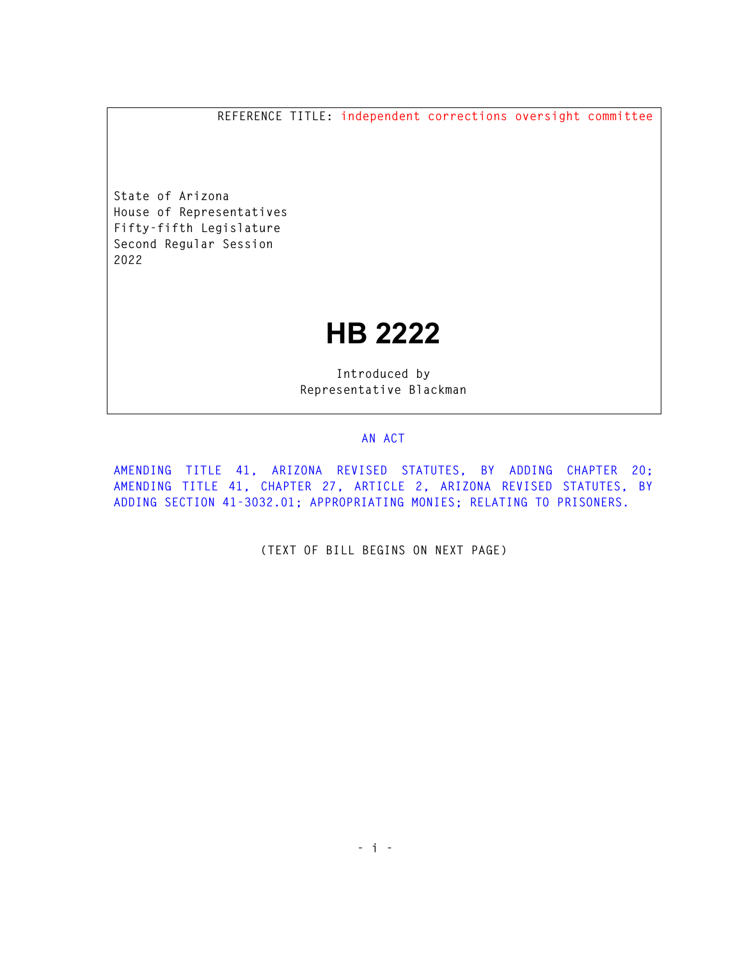**REFERENCE TITLE: independent corrections oversight committee** 

**State of Arizona House of Representatives Fifty-fifth Legislature Second Regular Session 2022** 

## **HB 2222**

**Introduced by Representative Blackman** 

## **AN ACT**

**AMENDING TITLE 41, ARIZONA REVISED STATUTES, BY ADDING CHAPTER 20; AMENDING TITLE 41, CHAPTER 27, ARTICLE 2, ARIZONA REVISED STATUTES, BY ADDING SECTION 41-3032.01; APPROPRIATING MONIES; RELATING TO PRISONERS.** 

**(TEXT OF BILL BEGINS ON NEXT PAGE)**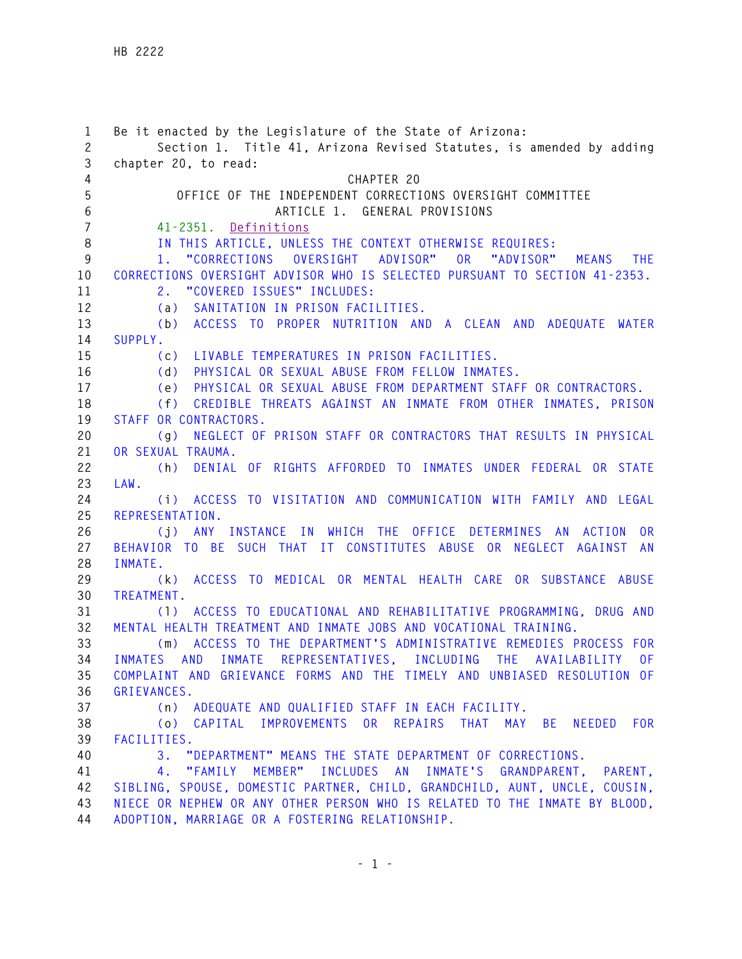| 1              | Be it enacted by the Legislature of the State of Arizona:                                   |
|----------------|---------------------------------------------------------------------------------------------|
| $\mathbf{2}$   | Section 1. Title 41, Arizona Revised Statutes, is amended by adding                         |
| 3              | chapter 20, to read:                                                                        |
| 4              | CHAPTER 20                                                                                  |
| 5              | OFFICE OF THE INDEPENDENT CORRECTIONS OVERSIGHT COMMITTEE                                   |
| 6              | ARTICLE 1. GENERAL PROVISIONS                                                               |
| $\overline{7}$ | 41-2351. Definitions                                                                        |
| 8              | IN THIS ARTICLE, UNLESS THE CONTEXT OTHERWISE REQUIRES:                                     |
| 9              | ADVISOR"<br>0 <sub>R</sub><br>"CORRECTIONS<br>OVERSIGHT<br>"ADVISOR"<br>THE.<br>MEANS<br>1. |
| 10             | CORRECTIONS OVERSIGHT ADVISOR WHO IS SELECTED PURSUANT TO SECTION 41-2353.                  |
| 11             | 2. "COVERED ISSUES" INCLUDES:                                                               |
| 12             | SANITATION IN PRISON FACILITIES.<br>(a)                                                     |
| 13             | ACCESS TO PROPER NUTRITION AND A CLEAN AND ADEQUATE WATER<br>(b)                            |
| 14             | SUPPLY.                                                                                     |
| 15             | LIVABLE TEMPERATURES IN PRISON FACILITIES.<br>(c)                                           |
| 16             | PHYSICAL OR SEXUAL ABUSE FROM FELLOW INMATES.<br>(d)                                        |
| 17             | PHYSICAL OR SEXUAL ABUSE FROM DEPARTMENT STAFF OR CONTRACTORS.<br>(e)                       |
| 18             | CREDIBLE THREATS AGAINST AN INMATE FROM OTHER INMATES, PRISON<br>(f)                        |
| 19             | STAFF OR CONTRACTORS.                                                                       |
| 20             | NEGLECT OF PRISON STAFF OR CONTRACTORS THAT RESULTS IN PHYSICAL<br>(g)                      |
| 21             | OR SEXUAL TRAUMA.                                                                           |
| 22             | DENIAL OF RIGHTS AFFORDED TO INMATES UNDER FEDERAL OR STATE<br>(h)                          |
| 23             | LAW.                                                                                        |
| 24             | ACCESS TO VISITATION AND COMMUNICATION WITH FAMILY AND LEGAL<br>(i)                         |
| 25             | REPRESENTATION.                                                                             |
| 26             | (j) ANY INSTANCE IN WHICH THE OFFICE DETERMINES AN ACTION<br>0R                             |
| 27             | BEHAVIOR TO BE SUCH THAT IT CONSTITUTES ABUSE OR NEGLECT AGAINST AN                         |
| 28             | INMATE.                                                                                     |
| 29             | ACCESS TO MEDICAL OR MENTAL HEALTH CARE OR SUBSTANCE ABUSE<br>(k)                           |
| 30             | TREATMENT.                                                                                  |
| 31             | ACCESS TO EDUCATIONAL AND REHABILITATIVE PROGRAMMING, DRUG AND<br>(1)                       |
| 32             | MENTAL HEALTH TREATMENT AND INMATE JOBS AND VOCATIONAL TRAINING.                            |
| 33             | ACCESS TO THE DEPARTMENT'S ADMINISTRATIVE REMEDIES PROCESS FOR<br>(m)                       |
| 34             | INMATES AND INMATE REPRESENTATIVES, INCLUDING THE AVAILABILITY OF                           |
| 35             | COMPLAINT AND GRIEVANCE FORMS AND THE TIMELY AND UNBIASED RESOLUTION OF                     |
| 36             | GRIEVANCES.                                                                                 |
| 37             | (n) ADEQUATE AND QUALIFIED STAFF IN EACH FACILITY.                                          |
| 38             | (o) CAPITAL IMPROVEMENTS OR REPAIRS THAT<br>MAY BE<br>NEEDED FOR                            |
| 39             | FACILITIES.                                                                                 |
| 40             | 3. "DEPARTMENT" MEANS THE STATE DEPARTMENT OF CORRECTIONS.                                  |
| 41             | 4. "FAMILY MEMBER" INCLUDES AN INMATE'S GRANDPARENT, PARENT,                                |
| 42             | SIBLING, SPOUSE, DOMESTIC PARTNER, CHILD, GRANDCHILD, AUNT, UNCLE, COUSIN,                  |
| 43             | NIECE OR NEPHEW OR ANY OTHER PERSON WHO IS RELATED TO THE INMATE BY BLOOD,                  |
| 44             | ADOPTION, MARRIAGE OR A FOSTERING RELATIONSHIP.                                             |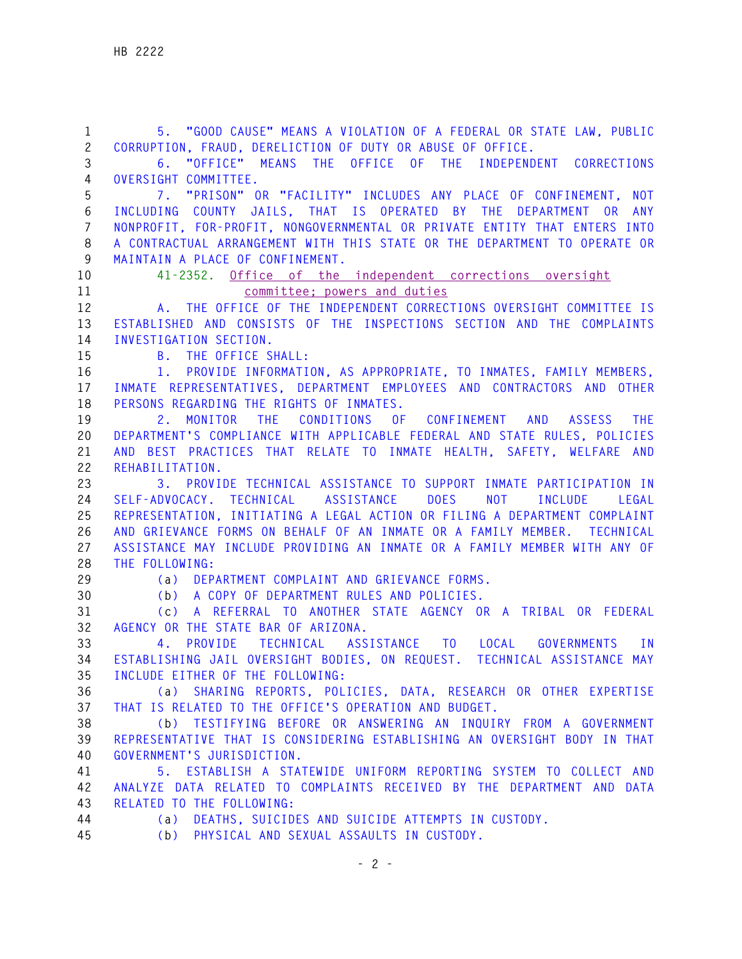| $\mathbf{1}$   | 5. "GOOD CAUSE" MEANS A VIOLATION OF A FEDERAL OR STATE LAW, PUBLIC                     |
|----------------|-----------------------------------------------------------------------------------------|
| $\mathbf{2}$   | CORRUPTION, FRAUD, DERELICTION OF DUTY OR ABUSE OF OFFICE.                              |
| 3              | 6. "OFFICE" MEANS THE OFFICE OF THE INDEPENDENT CORRECTIONS                             |
| $\overline{4}$ | OVERSIGHT COMMITTEE.                                                                    |
| 5              | 7. "PRISON" OR "FACILITY" INCLUDES ANY PLACE OF CONFINEMENT, NOT                        |
| $6\,$          | INCLUDING COUNTY JAILS, THAT IS OPERATED BY THE DEPARTMENT OR ANY                       |
| $\overline{7}$ | NONPROFIT, FOR-PROFIT, NONGOVERNMENTAL OR PRIVATE ENTITY THAT ENTERS INTO               |
| $\,8\,$        | A CONTRACTUAL ARRANGEMENT WITH THIS STATE OR THE DEPARTMENT TO OPERATE OR               |
| 9              | MAINTAIN A PLACE OF CONFINEMENT.                                                        |
| 10             | 41-2352. Office of the independent corrections oversight                                |
| 11             | committee; powers and duties                                                            |
| 12             | A. THE OFFICE OF THE INDEPENDENT CORRECTIONS OVERSIGHT COMMITTEE IS                     |
| 13             | ESTABLISHED AND CONSISTS OF THE INSPECTIONS SECTION AND THE COMPLAINTS                  |
| 14             | INVESTIGATION SECTION.                                                                  |
| 15             | <b>B.</b> THE OFFICE SHALL:                                                             |
| 16             | 1. PROVIDE INFORMATION, AS APPROPRIATE, TO INMATES, FAMILY MEMBERS,                     |
| 17             | INMATE REPRESENTATIVES, DEPARTMENT EMPLOYEES AND CONTRACTORS AND OTHER                  |
| 18             | PERSONS REGARDING THE RIGHTS OF INMATES.                                                |
| 19             | 2. MONITOR THE<br>CONDITIONS OF CONFINEMENT AND ASSESS<br><b>THE</b>                    |
| 20             | DEPARTMENT'S COMPLIANCE WITH APPLICABLE FEDERAL AND STATE RULES, POLICIES               |
| 21<br>22       | AND BEST PRACTICES THAT RELATE TO INMATE HEALTH, SAFETY, WELFARE AND<br>REHABILITATION. |
| 23             | 3. PROVIDE TECHNICAL ASSISTANCE TO SUPPORT INMATE PARTICIPATION IN                      |
| 24             | SELF-ADVOCACY. TECHNICAL ASSISTANCE DOES NOT<br>INCLUDE<br>LEGAL                        |
| 25             | REPRESENTATION, INITIATING A LEGAL ACTION OR FILING A DEPARTMENT COMPLAINT              |
| 26             | AND GRIEVANCE FORMS ON BEHALF OF AN INMATE OR A FAMILY MEMBER. TECHNICAL                |
| 27             | ASSISTANCE MAY INCLUDE PROVIDING AN INMATE OR A FAMILY MEMBER WITH ANY OF               |
| 28             | THE FOLLOWING:                                                                          |
| 29             | (a) DEPARTMENT COMPLAINT AND GRIEVANCE FORMS.                                           |
| 30             | (b) A COPY OF DEPARTMENT RULES AND POLICIES.                                            |
| 31             | (c) A REFERRAL TO ANOTHER STATE AGENCY OR A TRIBAL OR FEDERAL                           |
| 32             | AGENCY OR THE STATE BAR OF ARIZONA.                                                     |
| 33             | 4. PROVIDE TECHNICAL ASSISTANCE TO LOCAL GOVERNMENTS IN                                 |
| 34             | ESTABLISHING JAIL OVERSIGHT BODIES, ON REQUEST. TECHNICAL ASSISTANCE MAY                |
| 35             | INCLUDE EITHER OF THE FOLLOWING:                                                        |
| 36             | (a) SHARING REPORTS, POLICIES, DATA, RESEARCH OR OTHER EXPERTISE                        |
| 37             | THAT IS RELATED TO THE OFFICE'S OPERATION AND BUDGET.                                   |
| 38             | (b) TESTIFYING BEFORE OR ANSWERING AN INQUIRY FROM A GOVERNMENT                         |
| 39             | REPRESENTATIVE THAT IS CONSIDERING ESTABLISHING AN OVERSIGHT BODY IN THAT               |
| 40             | GOVERNMENT'S JURISDICTION.                                                              |
| 41             | 5. ESTABLISH A STATEWIDE UNIFORM REPORTING SYSTEM TO COLLECT AND                        |
| 42             | ANALYZE DATA RELATED TO COMPLAINTS RECEIVED BY THE DEPARTMENT AND DATA                  |
| 43             | RELATED TO THE FOLLOWING:                                                               |
| 44             | (a) DEATHS, SUICIDES AND SUICIDE ATTEMPTS IN CUSTODY.                                   |
| 45             | (b) PHYSICAL AND SEXUAL ASSAULTS IN CUSTODY.                                            |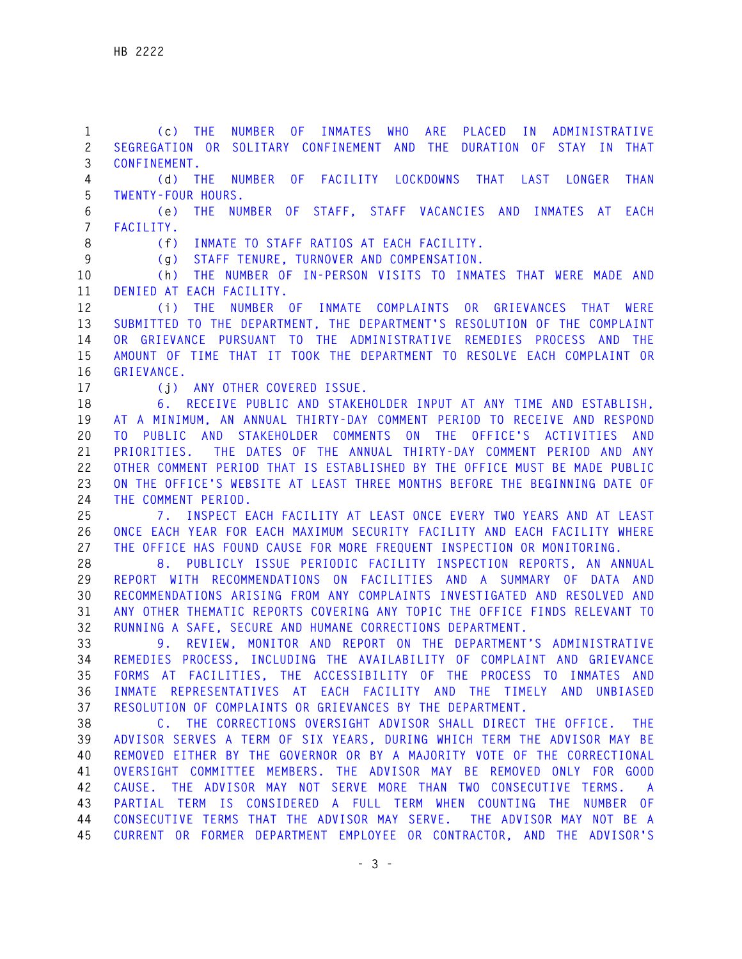**1 (c) THE NUMBER OF INMATES WHO ARE PLACED IN ADMINISTRATIVE 2 SEGREGATION OR SOLITARY CONFINEMENT AND THE DURATION OF STAY IN THAT 3 CONFINEMENT. 4 (d) THE NUMBER OF FACILITY LOCKDOWNS THAT LAST LONGER THAN 5 TWENTY-FOUR HOURS. 6 (e) THE NUMBER OF STAFF, STAFF VACANCIES AND INMATES AT EACH 7 FACILITY. 8 (f) INMATE TO STAFF RATIOS AT EACH FACILITY. 9 (g) STAFF TENURE, TURNOVER AND COMPENSATION. 10 (h) THE NUMBER OF IN-PERSON VISITS TO INMATES THAT WERE MADE AND 11 DENIED AT EACH FACILITY. 12 (i) THE NUMBER OF INMATE COMPLAINTS OR GRIEVANCES THAT WERE 13 SUBMITTED TO THE DEPARTMENT, THE DEPARTMENT'S RESOLUTION OF THE COMPLAINT 14 OR GRIEVANCE PURSUANT TO THE ADMINISTRATIVE REMEDIES PROCESS AND THE 15 AMOUNT OF TIME THAT IT TOOK THE DEPARTMENT TO RESOLVE EACH COMPLAINT OR 16 GRIEVANCE. 17 (j) ANY OTHER COVERED ISSUE. 18 6. RECEIVE PUBLIC AND STAKEHOLDER INPUT AT ANY TIME AND ESTABLISH, 19 AT A MINIMUM, AN ANNUAL THIRTY-DAY COMMENT PERIOD TO RECEIVE AND RESPOND 20 TO PUBLIC AND STAKEHOLDER COMMENTS ON THE OFFICE'S ACTIVITIES AND 21 PRIORITIES. THE DATES OF THE ANNUAL THIRTY-DAY COMMENT PERIOD AND ANY 22 OTHER COMMENT PERIOD THAT IS ESTABLISHED BY THE OFFICE MUST BE MADE PUBLIC 23 ON THE OFFICE'S WEBSITE AT LEAST THREE MONTHS BEFORE THE BEGINNING DATE OF 24 THE COMMENT PERIOD. 25 7. INSPECT EACH FACILITY AT LEAST ONCE EVERY TWO YEARS AND AT LEAST 26 ONCE EACH YEAR FOR EACH MAXIMUM SECURITY FACILITY AND EACH FACILITY WHERE 27 THE OFFICE HAS FOUND CAUSE FOR MORE FREQUENT INSPECTION OR MONITORING. 28 8. PUBLICLY ISSUE PERIODIC FACILITY INSPECTION REPORTS, AN ANNUAL 29 REPORT WITH RECOMMENDATIONS ON FACILITIES AND A SUMMARY OF DATA AND 30 RECOMMENDATIONS ARISING FROM ANY COMPLAINTS INVESTIGATED AND RESOLVED AND 31 ANY OTHER THEMATIC REPORTS COVERING ANY TOPIC THE OFFICE FINDS RELEVANT TO 32 RUNNING A SAFE, SECURE AND HUMANE CORRECTIONS DEPARTMENT. 33 9. REVIEW, MONITOR AND REPORT ON THE DEPARTMENT'S ADMINISTRATIVE 34 REMEDIES PROCESS, INCLUDING THE AVAILABILITY OF COMPLAINT AND GRIEVANCE 35 FORMS AT FACILITIES, THE ACCESSIBILITY OF THE PROCESS TO INMATES AND 36 INMATE REPRESENTATIVES AT EACH FACILITY AND THE TIMELY AND UNBIASED 37 RESOLUTION OF COMPLAINTS OR GRIEVANCES BY THE DEPARTMENT. 38 C. THE CORRECTIONS OVERSIGHT ADVISOR SHALL DIRECT THE OFFICE. THE 39 ADVISOR SERVES A TERM OF SIX YEARS, DURING WHICH TERM THE ADVISOR MAY BE 40 REMOVED EITHER BY THE GOVERNOR OR BY A MAJORITY VOTE OF THE CORRECTIONAL 41 OVERSIGHT COMMITTEE MEMBERS. THE ADVISOR MAY BE REMOVED ONLY FOR GOOD 42 CAUSE. THE ADVISOR MAY NOT SERVE MORE THAN TWO CONSECUTIVE TERMS. A 43 PARTIAL TERM IS CONSIDERED A FULL TERM WHEN COUNTING THE NUMBER OF 44 CONSECUTIVE TERMS THAT THE ADVISOR MAY SERVE. THE ADVISOR MAY NOT BE A 45 CURRENT OR FORMER DEPARTMENT EMPLOYEE OR CONTRACTOR, AND THE ADVISOR'S**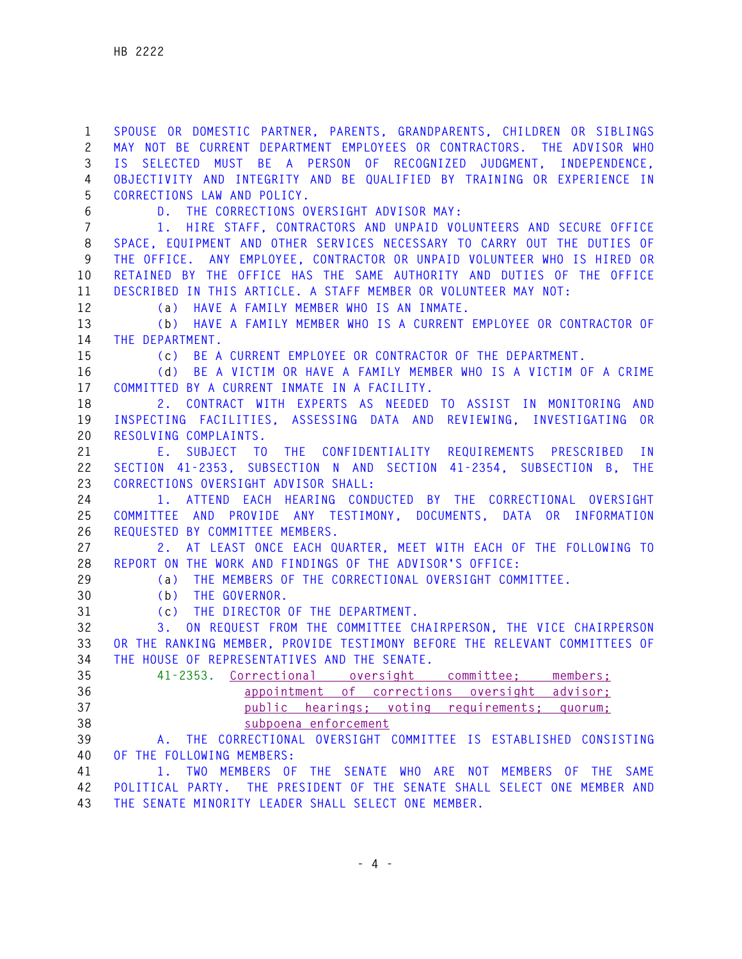**1 SPOUSE OR DOMESTIC PARTNER, PARENTS, GRANDPARENTS, CHILDREN OR SIBLINGS 2 MAY NOT BE CURRENT DEPARTMENT EMPLOYEES OR CONTRACTORS. THE ADVISOR WHO 3 IS SELECTED MUST BE A PERSON OF RECOGNIZED JUDGMENT, INDEPENDENCE, 4 OBJECTIVITY AND INTEGRITY AND BE QUALIFIED BY TRAINING OR EXPERIENCE IN 5 CORRECTIONS LAW AND POLICY. 6 D. THE CORRECTIONS OVERSIGHT ADVISOR MAY: 7 1. HIRE STAFF, CONTRACTORS AND UNPAID VOLUNTEERS AND SECURE OFFICE 8 SPACE, EQUIPMENT AND OTHER SERVICES NECESSARY TO CARRY OUT THE DUTIES OF 9 THE OFFICE. ANY EMPLOYEE, CONTRACTOR OR UNPAID VOLUNTEER WHO IS HIRED OR 10 RETAINED BY THE OFFICE HAS THE SAME AUTHORITY AND DUTIES OF THE OFFICE 11 DESCRIBED IN THIS ARTICLE. A STAFF MEMBER OR VOLUNTEER MAY NOT: 12 (a) HAVE A FAMILY MEMBER WHO IS AN INMATE. 13 (b) HAVE A FAMILY MEMBER WHO IS A CURRENT EMPLOYEE OR CONTRACTOR OF 14 THE DEPARTMENT. 15 (c) BE A CURRENT EMPLOYEE OR CONTRACTOR OF THE DEPARTMENT. 16 (d) BE A VICTIM OR HAVE A FAMILY MEMBER WHO IS A VICTIM OF A CRIME 17 COMMITTED BY A CURRENT INMATE IN A FACILITY. 18 2. CONTRACT WITH EXPERTS AS NEEDED TO ASSIST IN MONITORING AND 19 INSPECTING FACILITIES, ASSESSING DATA AND REVIEWING, INVESTIGATING OR 20 RESOLVING COMPLAINTS. 21 E. SUBJECT TO THE CONFIDENTIALITY REQUIREMENTS PRESCRIBED IN 22 SECTION 41-2353, SUBSECTION N AND SECTION 41-2354, SUBSECTION B, THE 23 CORRECTIONS OVERSIGHT ADVISOR SHALL: 24 1. ATTEND EACH HEARING CONDUCTED BY THE CORRECTIONAL OVERSIGHT 25 COMMITTEE AND PROVIDE ANY TESTIMONY, DOCUMENTS, DATA OR INFORMATION 26 REQUESTED BY COMMITTEE MEMBERS. 27 2. AT LEAST ONCE EACH QUARTER, MEET WITH EACH OF THE FOLLOWING TO 28 REPORT ON THE WORK AND FINDINGS OF THE ADVISOR'S OFFICE: 29 (a) THE MEMBERS OF THE CORRECTIONAL OVERSIGHT COMMITTEE. 30 (b) THE GOVERNOR. 31 (c) THE DIRECTOR OF THE DEPARTMENT. 32 3. ON REQUEST FROM THE COMMITTEE CHAIRPERSON, THE VICE CHAIRPERSON 33 OR THE RANKING MEMBER, PROVIDE TESTIMONY BEFORE THE RELEVANT COMMITTEES OF 34 THE HOUSE OF REPRESENTATIVES AND THE SENATE. 35 41-2353. Correctional oversight committee; members; 36 appointment of corrections oversight advisor; 37 public hearings; voting requirements; quorum; 38 subpoena enforcement 39 A. THE CORRECTIONAL OVERSIGHT COMMITTEE IS ESTABLISHED CONSISTING 40 OF THE FOLLOWING MEMBERS: 41 1. TWO MEMBERS OF THE SENATE WHO ARE NOT MEMBERS OF THE SAME 42 POLITICAL PARTY. THE PRESIDENT OF THE SENATE SHALL SELECT ONE MEMBER AND 43 THE SENATE MINORITY LEADER SHALL SELECT ONE MEMBER.**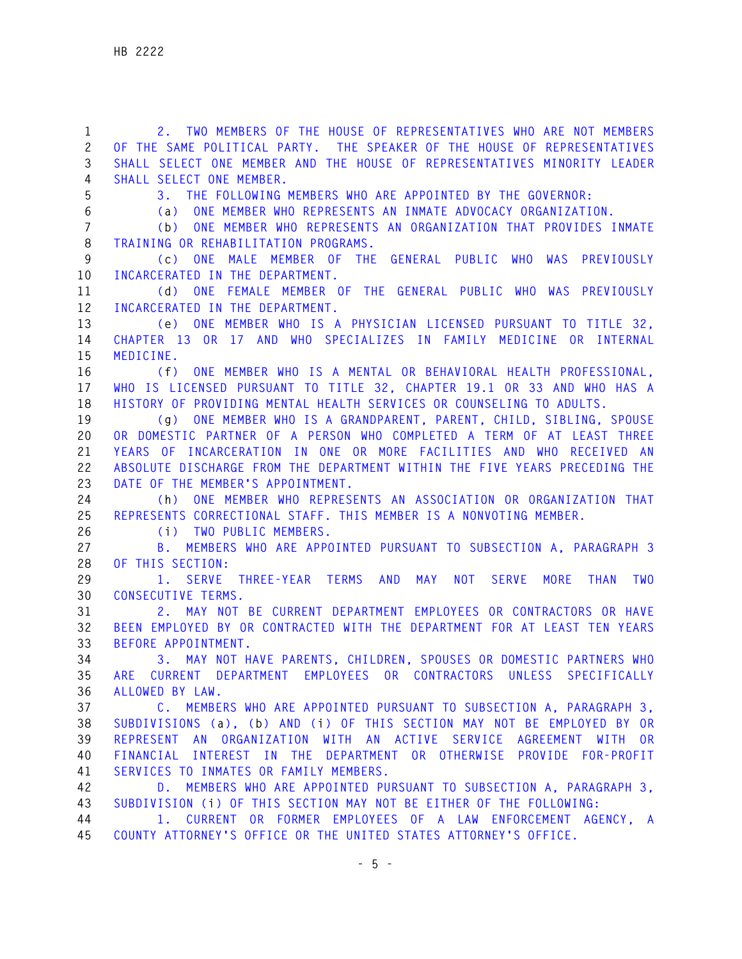**1 2. TWO MEMBERS OF THE HOUSE OF REPRESENTATIVES WHO ARE NOT MEMBERS 2 OF THE SAME POLITICAL PARTY. THE SPEAKER OF THE HOUSE OF REPRESENTATIVES 3 SHALL SELECT ONE MEMBER AND THE HOUSE OF REPRESENTATIVES MINORITY LEADER 4 SHALL SELECT ONE MEMBER. 5 3. THE FOLLOWING MEMBERS WHO ARE APPOINTED BY THE GOVERNOR: 6 (a) ONE MEMBER WHO REPRESENTS AN INMATE ADVOCACY ORGANIZATION. 7 (b) ONE MEMBER WHO REPRESENTS AN ORGANIZATION THAT PROVIDES INMATE 8 TRAINING OR REHABILITATION PROGRAMS. 9 (c) ONE MALE MEMBER OF THE GENERAL PUBLIC WHO WAS PREVIOUSLY 10 INCARCERATED IN THE DEPARTMENT. 11 (d) ONE FEMALE MEMBER OF THE GENERAL PUBLIC WHO WAS PREVIOUSLY 12 INCARCERATED IN THE DEPARTMENT. 13 (e) ONE MEMBER WHO IS A PHYSICIAN LICENSED PURSUANT TO TITLE 32, 14 CHAPTER 13 OR 17 AND WHO SPECIALIZES IN FAMILY MEDICINE OR INTERNAL 15 MEDICINE. 16 (f) ONE MEMBER WHO IS A MENTAL OR BEHAVIORAL HEALTH PROFESSIONAL, 17 WHO IS LICENSED PURSUANT TO TITLE 32, CHAPTER 19.1 OR 33 AND WHO HAS A 18 HISTORY OF PROVIDING MENTAL HEALTH SERVICES OR COUNSELING TO ADULTS. 19 (g) ONE MEMBER WHO IS A GRANDPARENT, PARENT, CHILD, SIBLING, SPOUSE 20 OR DOMESTIC PARTNER OF A PERSON WHO COMPLETED A TERM OF AT LEAST THREE 21 YEARS OF INCARCERATION IN ONE OR MORE FACILITIES AND WHO RECEIVED AN 22 ABSOLUTE DISCHARGE FROM THE DEPARTMENT WITHIN THE FIVE YEARS PRECEDING THE 23 DATE OF THE MEMBER'S APPOINTMENT. 24 (h) ONE MEMBER WHO REPRESENTS AN ASSOCIATION OR ORGANIZATION THAT 25 REPRESENTS CORRECTIONAL STAFF. THIS MEMBER IS A NONVOTING MEMBER. 26 (i) TWO PUBLIC MEMBERS. 27 B. MEMBERS WHO ARE APPOINTED PURSUANT TO SUBSECTION A, PARAGRAPH 3 28 OF THIS SECTION: 29 1. SERVE THREE-YEAR TERMS AND MAY NOT SERVE MORE THAN TWO 30 CONSECUTIVE TERMS. 31 2. MAY NOT BE CURRENT DEPARTMENT EMPLOYEES OR CONTRACTORS OR HAVE 32 BEEN EMPLOYED BY OR CONTRACTED WITH THE DEPARTMENT FOR AT LEAST TEN YEARS 33 BEFORE APPOINTMENT. 34 3. MAY NOT HAVE PARENTS, CHILDREN, SPOUSES OR DOMESTIC PARTNERS WHO 35 ARE CURRENT DEPARTMENT EMPLOYEES OR CONTRACTORS UNLESS SPECIFICALLY 36 ALLOWED BY LAW. 37 C. MEMBERS WHO ARE APPOINTED PURSUANT TO SUBSECTION A, PARAGRAPH 3, 38 SUBDIVISIONS (a), (b) AND (i) OF THIS SECTION MAY NOT BE EMPLOYED BY OR 39 REPRESENT AN ORGANIZATION WITH AN ACTIVE SERVICE AGREEMENT WITH OR 40 FINANCIAL INTEREST IN THE DEPARTMENT OR OTHERWISE PROVIDE FOR-PROFIT 41 SERVICES TO INMATES OR FAMILY MEMBERS. 42 D. MEMBERS WHO ARE APPOINTED PURSUANT TO SUBSECTION A, PARAGRAPH 3, 43 SUBDIVISION (i) OF THIS SECTION MAY NOT BE EITHER OF THE FOLLOWING: 44 1. CURRENT OR FORMER EMPLOYEES OF A LAW ENFORCEMENT AGENCY, A 45 COUNTY ATTORNEY'S OFFICE OR THE UNITED STATES ATTORNEY'S OFFICE.**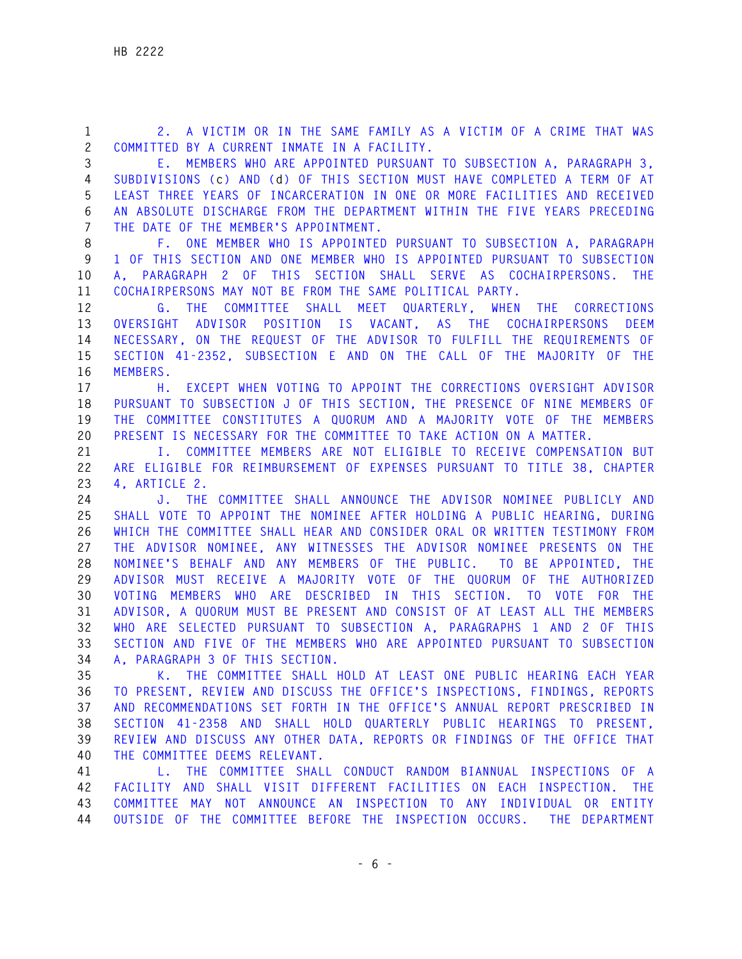**- 6 - 3 E. MEMBERS WHO ARE APPOINTED PURSUANT TO SUBSECTION A, PARAGRAPH 3, 4 SUBDIVISIONS (c) AND (d) OF THIS SECTION MUST HAVE COMPLETED A TERM OF AT 5 LEAST THREE YEARS OF INCARCERATION IN ONE OR MORE FACILITIES AND RECEIVED 6 AN ABSOLUTE DISCHARGE FROM THE DEPARTMENT WITHIN THE FIVE YEARS PRECEDING 7 THE DATE OF THE MEMBER'S APPOINTMENT. 8 F. ONE MEMBER WHO IS APPOINTED PURSUANT TO SUBSECTION A, PARAGRAPH 9 1 OF THIS SECTION AND ONE MEMBER WHO IS APPOINTED PURSUANT TO SUBSECTION 10 A, PARAGRAPH 2 OF THIS SECTION SHALL SERVE AS COCHAIRPERSONS. THE 11 COCHAIRPERSONS MAY NOT BE FROM THE SAME POLITICAL PARTY. 12 G. THE COMMITTEE SHALL MEET QUARTERLY, WHEN THE CORRECTIONS 13 OVERSIGHT ADVISOR POSITION IS VACANT, AS THE COCHAIRPERSONS DEEM 14 NECESSARY, ON THE REQUEST OF THE ADVISOR TO FULFILL THE REQUIREMENTS OF 15 SECTION 41-2352, SUBSECTION E AND ON THE CALL OF THE MAJORITY OF THE 16 MEMBERS. 17 H. EXCEPT WHEN VOTING TO APPOINT THE CORRECTIONS OVERSIGHT ADVISOR 18 PURSUANT TO SUBSECTION J OF THIS SECTION, THE PRESENCE OF NINE MEMBERS OF 19 THE COMMITTEE CONSTITUTES A QUORUM AND A MAJORITY VOTE OF THE MEMBERS 20 PRESENT IS NECESSARY FOR THE COMMITTEE TO TAKE ACTION ON A MATTER. 21 I. COMMITTEE MEMBERS ARE NOT ELIGIBLE TO RECEIVE COMPENSATION BUT 22 ARE ELIGIBLE FOR REIMBURSEMENT OF EXPENSES PURSUANT TO TITLE 38, CHAPTER 23 4, ARTICLE 2. 24 J. THE COMMITTEE SHALL ANNOUNCE THE ADVISOR NOMINEE PUBLICLY AND 25 SHALL VOTE TO APPOINT THE NOMINEE AFTER HOLDING A PUBLIC HEARING, DURING 26 WHICH THE COMMITTEE SHALL HEAR AND CONSIDER ORAL OR WRITTEN TESTIMONY FROM 27 THE ADVISOR NOMINEE, ANY WITNESSES THE ADVISOR NOMINEE PRESENTS ON THE 28 NOMINEE'S BEHALF AND ANY MEMBERS OF THE PUBLIC. TO BE APPOINTED, THE 29 ADVISOR MUST RECEIVE A MAJORITY VOTE OF THE QUORUM OF THE AUTHORIZED 30 VOTING MEMBERS WHO ARE DESCRIBED IN THIS SECTION. TO VOTE FOR THE 31 ADVISOR, A QUORUM MUST BE PRESENT AND CONSIST OF AT LEAST ALL THE MEMBERS 32 WHO ARE SELECTED PURSUANT TO SUBSECTION A, PARAGRAPHS 1 AND 2 OF THIS 33 SECTION AND FIVE OF THE MEMBERS WHO ARE APPOINTED PURSUANT TO SUBSECTION 34 A, PARAGRAPH 3 OF THIS SECTION. 35 K. THE COMMITTEE SHALL HOLD AT LEAST ONE PUBLIC HEARING EACH YEAR 36 TO PRESENT, REVIEW AND DISCUSS THE OFFICE'S INSPECTIONS, FINDINGS, REPORTS 37 AND RECOMMENDATIONS SET FORTH IN THE OFFICE'S ANNUAL REPORT PRESCRIBED IN 38 SECTION 41-2358 AND SHALL HOLD QUARTERLY PUBLIC HEARINGS TO PRESENT, 39 REVIEW AND DISCUSS ANY OTHER DATA, REPORTS OR FINDINGS OF THE OFFICE THAT 40 THE COMMITTEE DEEMS RELEVANT. 41 L. THE COMMITTEE SHALL CONDUCT RANDOM BIANNUAL INSPECTIONS OF A 42 FACILITY AND SHALL VISIT DIFFERENT FACILITIES ON EACH INSPECTION. THE 43 COMMITTEE MAY NOT ANNOUNCE AN INSPECTION TO ANY INDIVIDUAL OR ENTITY 44 OUTSIDE OF THE COMMITTEE BEFORE THE INSPECTION OCCURS. THE DEPARTMENT** 

**1 2. A VICTIM OR IN THE SAME FAMILY AS A VICTIM OF A CRIME THAT WAS** 

**2 COMMITTED BY A CURRENT INMATE IN A FACILITY.**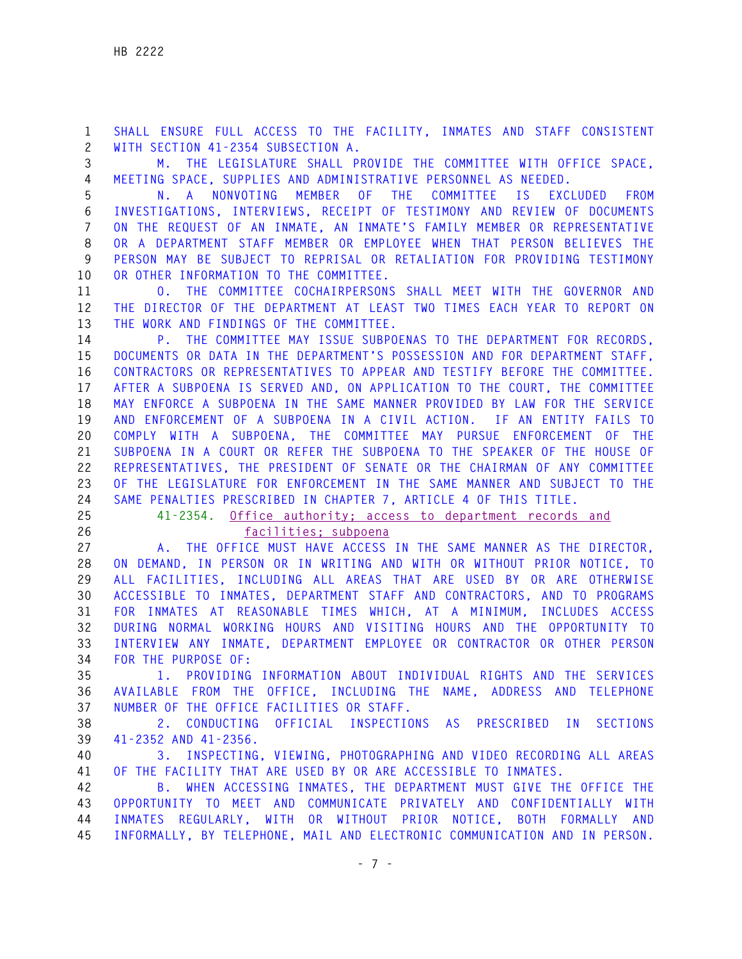**1 SHALL ENSURE FULL ACCESS TO THE FACILITY, INMATES AND STAFF CONSISTENT 2 WITH SECTION 41-2354 SUBSECTION A.** 

**3 M. THE LEGISLATURE SHALL PROVIDE THE COMMITTEE WITH OFFICE SPACE, 4 MEETING SPACE, SUPPLIES AND ADMINISTRATIVE PERSONNEL AS NEEDED.** 

**5 N. A NONVOTING MEMBER OF THE COMMITTEE IS EXCLUDED FROM 6 INVESTIGATIONS, INTERVIEWS, RECEIPT OF TESTIMONY AND REVIEW OF DOCUMENTS 7 ON THE REQUEST OF AN INMATE, AN INMATE'S FAMILY MEMBER OR REPRESENTATIVE 8 OR A DEPARTMENT STAFF MEMBER OR EMPLOYEE WHEN THAT PERSON BELIEVES THE 9 PERSON MAY BE SUBJECT TO REPRISAL OR RETALIATION FOR PROVIDING TESTIMONY 10 OR OTHER INFORMATION TO THE COMMITTEE.** 

**11 O. THE COMMITTEE COCHAIRPERSONS SHALL MEET WITH THE GOVERNOR AND 12 THE DIRECTOR OF THE DEPARTMENT AT LEAST TWO TIMES EACH YEAR TO REPORT ON 13 THE WORK AND FINDINGS OF THE COMMITTEE.** 

**14 P. THE COMMITTEE MAY ISSUE SUBPOENAS TO THE DEPARTMENT FOR RECORDS, 15 DOCUMENTS OR DATA IN THE DEPARTMENT'S POSSESSION AND FOR DEPARTMENT STAFF, 16 CONTRACTORS OR REPRESENTATIVES TO APPEAR AND TESTIFY BEFORE THE COMMITTEE. 17 AFTER A SUBPOENA IS SERVED AND, ON APPLICATION TO THE COURT, THE COMMITTEE 18 MAY ENFORCE A SUBPOENA IN THE SAME MANNER PROVIDED BY LAW FOR THE SERVICE 19 AND ENFORCEMENT OF A SUBPOENA IN A CIVIL ACTION. IF AN ENTITY FAILS TO 20 COMPLY WITH A SUBPOENA, THE COMMITTEE MAY PURSUE ENFORCEMENT OF THE 21 SUBPOENA IN A COURT OR REFER THE SUBPOENA TO THE SPEAKER OF THE HOUSE OF 22 REPRESENTATIVES, THE PRESIDENT OF SENATE OR THE CHAIRMAN OF ANY COMMITTEE 23 OF THE LEGISLATURE FOR ENFORCEMENT IN THE SAME MANNER AND SUBJECT TO THE 24 SAME PENALTIES PRESCRIBED IN CHAPTER 7, ARTICLE 4 OF THIS TITLE.** 

**25 41-2354. Office authority; access to department records and** 

**26 facilities; subpoena**

**27 A. THE OFFICE MUST HAVE ACCESS IN THE SAME MANNER AS THE DIRECTOR, 28 ON DEMAND, IN PERSON OR IN WRITING AND WITH OR WITHOUT PRIOR NOTICE, TO 29 ALL FACILITIES, INCLUDING ALL AREAS THAT ARE USED BY OR ARE OTHERWISE 30 ACCESSIBLE TO INMATES, DEPARTMENT STAFF AND CONTRACTORS, AND TO PROGRAMS 31 FOR INMATES AT REASONABLE TIMES WHICH, AT A MINIMUM, INCLUDES ACCESS 32 DURING NORMAL WORKING HOURS AND VISITING HOURS AND THE OPPORTUNITY TO 33 INTERVIEW ANY INMATE, DEPARTMENT EMPLOYEE OR CONTRACTOR OR OTHER PERSON 34 FOR THE PURPOSE OF:** 

**35 1. PROVIDING INFORMATION ABOUT INDIVIDUAL RIGHTS AND THE SERVICES 36 AVAILABLE FROM THE OFFICE, INCLUDING THE NAME, ADDRESS AND TELEPHONE 37 NUMBER OF THE OFFICE FACILITIES OR STAFF.** 

**38 2. CONDUCTING OFFICIAL INSPECTIONS AS PRESCRIBED IN SECTIONS 39 41-2352 AND 41-2356.** 

**40 3. INSPECTING, VIEWING, PHOTOGRAPHING AND VIDEO RECORDING ALL AREAS 41 OF THE FACILITY THAT ARE USED BY OR ARE ACCESSIBLE TO INMATES.** 

**42 B. WHEN ACCESSING INMATES, THE DEPARTMENT MUST GIVE THE OFFICE THE 43 OPPORTUNITY TO MEET AND COMMUNICATE PRIVATELY AND CONFIDENTIALLY WITH 44 INMATES REGULARLY, WITH OR WITHOUT PRIOR NOTICE, BOTH FORMALLY AND 45 INFORMALLY, BY TELEPHONE, MAIL AND ELECTRONIC COMMUNICATION AND IN PERSON.**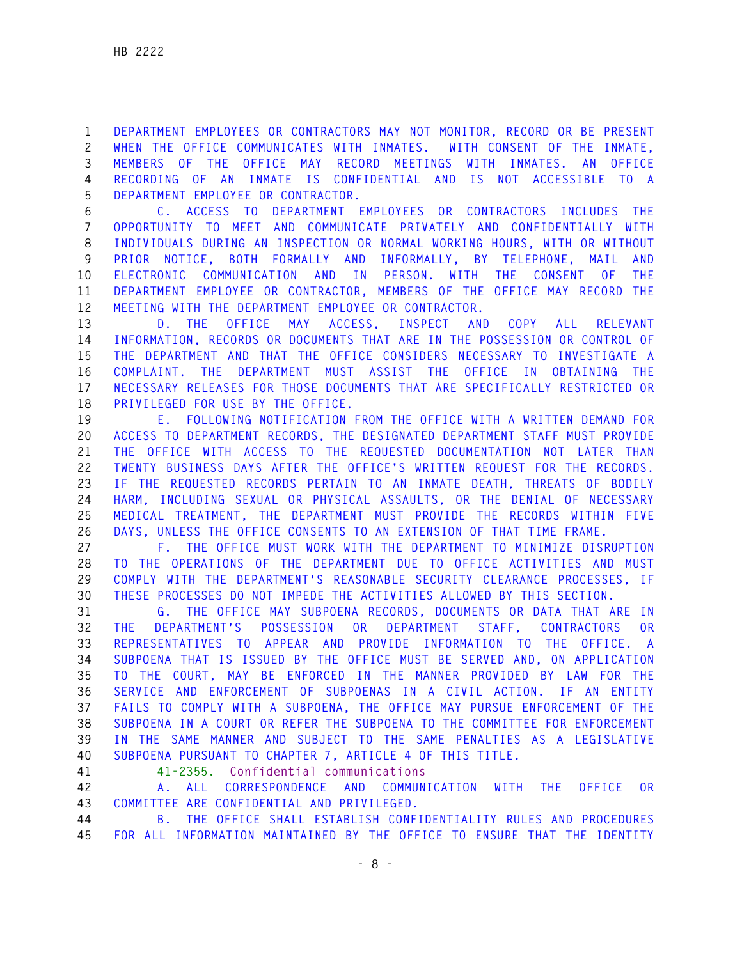**1 DEPARTMENT EMPLOYEES OR CONTRACTORS MAY NOT MONITOR, RECORD OR BE PRESENT 2 WHEN THE OFFICE COMMUNICATES WITH INMATES. WITH CONSENT OF THE INMATE, 3 MEMBERS OF THE OFFICE MAY RECORD MEETINGS WITH INMATES. AN OFFICE 4 RECORDING OF AN INMATE IS CONFIDENTIAL AND IS NOT ACCESSIBLE TO A 5 DEPARTMENT EMPLOYEE OR CONTRACTOR.** 

**6 C. ACCESS TO DEPARTMENT EMPLOYEES OR CONTRACTORS INCLUDES THE 7 OPPORTUNITY TO MEET AND COMMUNICATE PRIVATELY AND CONFIDENTIALLY WITH 8 INDIVIDUALS DURING AN INSPECTION OR NORMAL WORKING HOURS, WITH OR WITHOUT 9 PRIOR NOTICE, BOTH FORMALLY AND INFORMALLY, BY TELEPHONE, MAIL AND 10 ELECTRONIC COMMUNICATION AND IN PERSON. WITH THE CONSENT OF THE 11 DEPARTMENT EMPLOYEE OR CONTRACTOR, MEMBERS OF THE OFFICE MAY RECORD THE 12 MEETING WITH THE DEPARTMENT EMPLOYEE OR CONTRACTOR.** 

**13 D. THE OFFICE MAY ACCESS, INSPECT AND COPY ALL RELEVANT 14 INFORMATION, RECORDS OR DOCUMENTS THAT ARE IN THE POSSESSION OR CONTROL OF 15 THE DEPARTMENT AND THAT THE OFFICE CONSIDERS NECESSARY TO INVESTIGATE A 16 COMPLAINT. THE DEPARTMENT MUST ASSIST THE OFFICE IN OBTAINING THE 17 NECESSARY RELEASES FOR THOSE DOCUMENTS THAT ARE SPECIFICALLY RESTRICTED OR 18 PRIVILEGED FOR USE BY THE OFFICE.** 

**19 E. FOLLOWING NOTIFICATION FROM THE OFFICE WITH A WRITTEN DEMAND FOR 20 ACCESS TO DEPARTMENT RECORDS, THE DESIGNATED DEPARTMENT STAFF MUST PROVIDE 21 THE OFFICE WITH ACCESS TO THE REQUESTED DOCUMENTATION NOT LATER THAN 22 TWENTY BUSINESS DAYS AFTER THE OFFICE'S WRITTEN REQUEST FOR THE RECORDS. 23 IF THE REQUESTED RECORDS PERTAIN TO AN INMATE DEATH, THREATS OF BODILY 24 HARM, INCLUDING SEXUAL OR PHYSICAL ASSAULTS, OR THE DENIAL OF NECESSARY 25 MEDICAL TREATMENT, THE DEPARTMENT MUST PROVIDE THE RECORDS WITHIN FIVE 26 DAYS, UNLESS THE OFFICE CONSENTS TO AN EXTENSION OF THAT TIME FRAME.** 

**27 F. THE OFFICE MUST WORK WITH THE DEPARTMENT TO MINIMIZE DISRUPTION 28 TO THE OPERATIONS OF THE DEPARTMENT DUE TO OFFICE ACTIVITIES AND MUST 29 COMPLY WITH THE DEPARTMENT'S REASONABLE SECURITY CLEARANCE PROCESSES, IF 30 THESE PROCESSES DO NOT IMPEDE THE ACTIVITIES ALLOWED BY THIS SECTION.** 

**31 G. THE OFFICE MAY SUBPOENA RECORDS, DOCUMENTS OR DATA THAT ARE IN 32 THE DEPARTMENT'S POSSESSION OR DEPARTMENT STAFF, CONTRACTORS OR 33 REPRESENTATIVES TO APPEAR AND PROVIDE INFORMATION TO THE OFFICE. A 34 SUBPOENA THAT IS ISSUED BY THE OFFICE MUST BE SERVED AND, ON APPLICATION 35 TO THE COURT, MAY BE ENFORCED IN THE MANNER PROVIDED BY LAW FOR THE 36 SERVICE AND ENFORCEMENT OF SUBPOENAS IN A CIVIL ACTION. IF AN ENTITY 37 FAILS TO COMPLY WITH A SUBPOENA, THE OFFICE MAY PURSUE ENFORCEMENT OF THE 38 SUBPOENA IN A COURT OR REFER THE SUBPOENA TO THE COMMITTEE FOR ENFORCEMENT 39 IN THE SAME MANNER AND SUBJECT TO THE SAME PENALTIES AS A LEGISLATIVE 40 SUBPOENA PURSUANT TO CHAPTER 7, ARTICLE 4 OF THIS TITLE.** 

**41 41-2355. Confidential communications**

**42 A. ALL CORRESPONDENCE AND COMMUNICATION WITH THE OFFICE OR 43 COMMITTEE ARE CONFIDENTIAL AND PRIVILEGED.** 

**44 B. THE OFFICE SHALL ESTABLISH CONFIDENTIALITY RULES AND PROCEDURES 45 FOR ALL INFORMATION MAINTAINED BY THE OFFICE TO ENSURE THAT THE IDENTITY**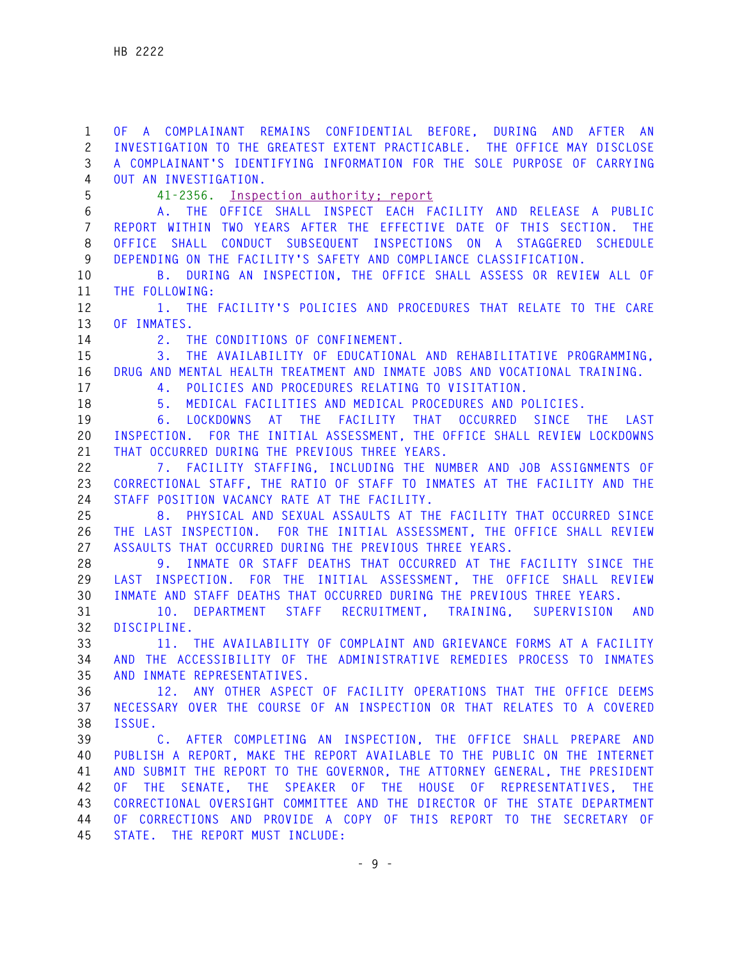**1 OF A COMPLAINANT REMAINS CONFIDENTIAL BEFORE, DURING AND AFTER AN 2 INVESTIGATION TO THE GREATEST EXTENT PRACTICABLE. THE OFFICE MAY DISCLOSE 3 A COMPLAINANT'S IDENTIFYING INFORMATION FOR THE SOLE PURPOSE OF CARRYING 4 OUT AN INVESTIGATION. 5 41-2356. Inspection authority; report 6 A. THE OFFICE SHALL INSPECT EACH FACILITY AND RELEASE A PUBLIC 7 REPORT WITHIN TWO YEARS AFTER THE EFFECTIVE DATE OF THIS SECTION. THE 8 OFFICE SHALL CONDUCT SUBSEQUENT INSPECTIONS ON A STAGGERED SCHEDULE 9 DEPENDING ON THE FACILITY'S SAFETY AND COMPLIANCE CLASSIFICATION. 10 B. DURING AN INSPECTION, THE OFFICE SHALL ASSESS OR REVIEW ALL OF 11 THE FOLLOWING: 12 1. THE FACILITY'S POLICIES AND PROCEDURES THAT RELATE TO THE CARE 13 OF INMATES. 14 2. THE CONDITIONS OF CONFINEMENT. 15 3. THE AVAILABILITY OF EDUCATIONAL AND REHABILITATIVE PROGRAMMING, 16 DRUG AND MENTAL HEALTH TREATMENT AND INMATE JOBS AND VOCATIONAL TRAINING. 17 4. POLICIES AND PROCEDURES RELATING TO VISITATION. 18 5. MEDICAL FACILITIES AND MEDICAL PROCEDURES AND POLICIES. 19 6. LOCKDOWNS AT THE FACILITY THAT OCCURRED SINCE THE LAST 20 INSPECTION. FOR THE INITIAL ASSESSMENT, THE OFFICE SHALL REVIEW LOCKDOWNS 21 THAT OCCURRED DURING THE PREVIOUS THREE YEARS. 22 7. FACILITY STAFFING, INCLUDING THE NUMBER AND JOB ASSIGNMENTS OF 23 CORRECTIONAL STAFF, THE RATIO OF STAFF TO INMATES AT THE FACILITY AND THE 24 STAFF POSITION VACANCY RATE AT THE FACILITY. 25 8. PHYSICAL AND SEXUAL ASSAULTS AT THE FACILITY THAT OCCURRED SINCE 26 THE LAST INSPECTION. FOR THE INITIAL ASSESSMENT, THE OFFICE SHALL REVIEW 27 ASSAULTS THAT OCCURRED DURING THE PREVIOUS THREE YEARS. 28 9. INMATE OR STAFF DEATHS THAT OCCURRED AT THE FACILITY SINCE THE 29 LAST INSPECTION. FOR THE INITIAL ASSESSMENT, THE OFFICE SHALL REVIEW 30 INMATE AND STAFF DEATHS THAT OCCURRED DURING THE PREVIOUS THREE YEARS. 31 10. DEPARTMENT STAFF RECRUITMENT, TRAINING, SUPERVISION AND 32 DISCIPLINE. 33 11. THE AVAILABILITY OF COMPLAINT AND GRIEVANCE FORMS AT A FACILITY 34 AND THE ACCESSIBILITY OF THE ADMINISTRATIVE REMEDIES PROCESS TO INMATES 35 AND INMATE REPRESENTATIVES. 36 12. ANY OTHER ASPECT OF FACILITY OPERATIONS THAT THE OFFICE DEEMS 37 NECESSARY OVER THE COURSE OF AN INSPECTION OR THAT RELATES TO A COVERED 38 ISSUE. 39 C. AFTER COMPLETING AN INSPECTION, THE OFFICE SHALL PREPARE AND 40 PUBLISH A REPORT, MAKE THE REPORT AVAILABLE TO THE PUBLIC ON THE INTERNET 41 AND SUBMIT THE REPORT TO THE GOVERNOR, THE ATTORNEY GENERAL, THE PRESIDENT 42 OF THE SENATE, THE SPEAKER OF THE HOUSE OF REPRESENTATIVES, THE 43 CORRECTIONAL OVERSIGHT COMMITTEE AND THE DIRECTOR OF THE STATE DEPARTMENT 44 OF CORRECTIONS AND PROVIDE A COPY OF THIS REPORT TO THE SECRETARY OF 45 STATE. THE REPORT MUST INCLUDE:**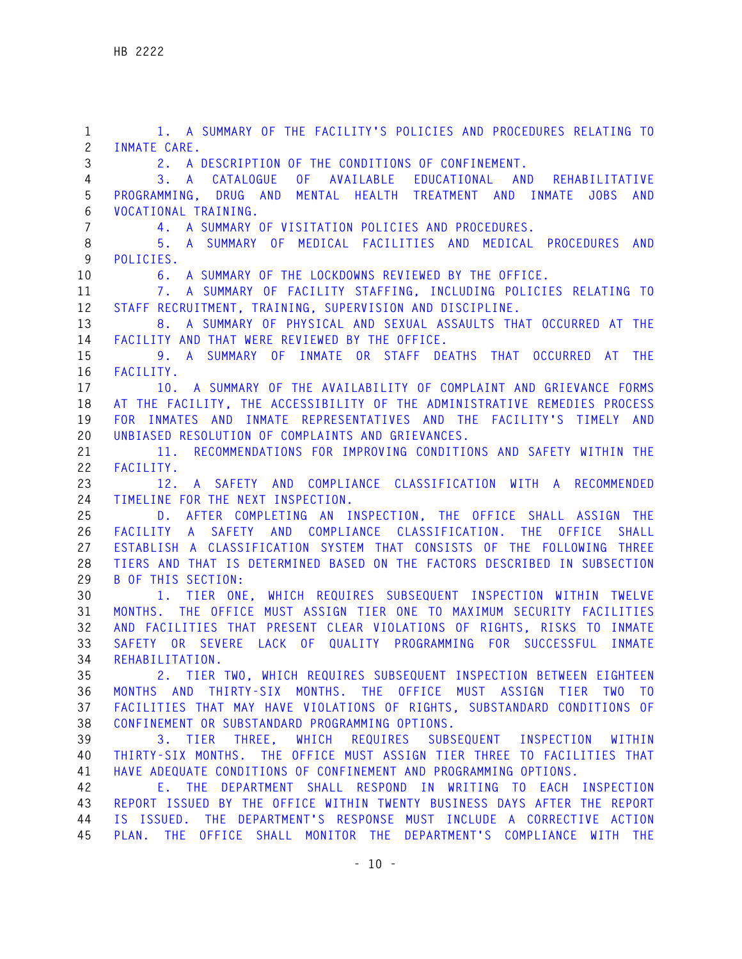**1 1. A SUMMARY OF THE FACILITY'S POLICIES AND PROCEDURES RELATING TO 2 INMATE CARE. 3 2. A DESCRIPTION OF THE CONDITIONS OF CONFINEMENT. 4 3. A CATALOGUE OF AVAILABLE EDUCATIONAL AND REHABILITATIVE 5 PROGRAMMING, DRUG AND MENTAL HEALTH TREATMENT AND INMATE JOBS AND 6 VOCATIONAL TRAINING. 7 4. A SUMMARY OF VISITATION POLICIES AND PROCEDURES. 8 5. A SUMMARY OF MEDICAL FACILITIES AND MEDICAL PROCEDURES AND 9 POLICIES. 10 6. A SUMMARY OF THE LOCKDOWNS REVIEWED BY THE OFFICE. 11 7. A SUMMARY OF FACILITY STAFFING, INCLUDING POLICIES RELATING TO 12 STAFF RECRUITMENT, TRAINING, SUPERVISION AND DISCIPLINE. 13 8. A SUMMARY OF PHYSICAL AND SEXUAL ASSAULTS THAT OCCURRED AT THE 14 FACILITY AND THAT WERE REVIEWED BY THE OFFICE. 15 9. A SUMMARY OF INMATE OR STAFF DEATHS THAT OCCURRED AT THE 16 FACILITY. 17 10. A SUMMARY OF THE AVAILABILITY OF COMPLAINT AND GRIEVANCE FORMS 18 AT THE FACILITY, THE ACCESSIBILITY OF THE ADMINISTRATIVE REMEDIES PROCESS 19 FOR INMATES AND INMATE REPRESENTATIVES AND THE FACILITY'S TIMELY AND 20 UNBIASED RESOLUTION OF COMPLAINTS AND GRIEVANCES. 21 11. RECOMMENDATIONS FOR IMPROVING CONDITIONS AND SAFETY WITHIN THE 22 FACILITY. 23 12. A SAFETY AND COMPLIANCE CLASSIFICATION WITH A RECOMMENDED 24 TIMELINE FOR THE NEXT INSPECTION. 25 D. AFTER COMPLETING AN INSPECTION, THE OFFICE SHALL ASSIGN THE 26 FACILITY A SAFETY AND COMPLIANCE CLASSIFICATION. THE OFFICE SHALL 27 ESTABLISH A CLASSIFICATION SYSTEM THAT CONSISTS OF THE FOLLOWING THREE 28 TIERS AND THAT IS DETERMINED BASED ON THE FACTORS DESCRIBED IN SUBSECTION 29 B OF THIS SECTION: 30 1. TIER ONE, WHICH REQUIRES SUBSEQUENT INSPECTION WITHIN TWELVE 31 MONTHS. THE OFFICE MUST ASSIGN TIER ONE TO MAXIMUM SECURITY FACILITIES 32 AND FACILITIES THAT PRESENT CLEAR VIOLATIONS OF RIGHTS, RISKS TO INMATE 33 SAFETY OR SEVERE LACK OF QUALITY PROGRAMMING FOR SUCCESSFUL INMATE 34 REHABILITATION. 35 2. TIER TWO, WHICH REQUIRES SUBSEQUENT INSPECTION BETWEEN EIGHTEEN 36 MONTHS AND THIRTY-SIX MONTHS. THE OFFICE MUST ASSIGN TIER TWO TO 37 FACILITIES THAT MAY HAVE VIOLATIONS OF RIGHTS, SUBSTANDARD CONDITIONS OF 38 CONFINEMENT OR SUBSTANDARD PROGRAMMING OPTIONS. 39 3. TIER THREE, WHICH REQUIRES SUBSEQUENT INSPECTION WITHIN 40 THIRTY-SIX MONTHS. THE OFFICE MUST ASSIGN TIER THREE TO FACILITIES THAT 41 HAVE ADEQUATE CONDITIONS OF CONFINEMENT AND PROGRAMMING OPTIONS. 42 E. THE DEPARTMENT SHALL RESPOND IN WRITING TO EACH INSPECTION 43 REPORT ISSUED BY THE OFFICE WITHIN TWENTY BUSINESS DAYS AFTER THE REPORT 44 IS ISSUED. THE DEPARTMENT'S RESPONSE MUST INCLUDE A CORRECTIVE ACTION 45 PLAN. THE OFFICE SHALL MONITOR THE DEPARTMENT'S COMPLIANCE WITH THE**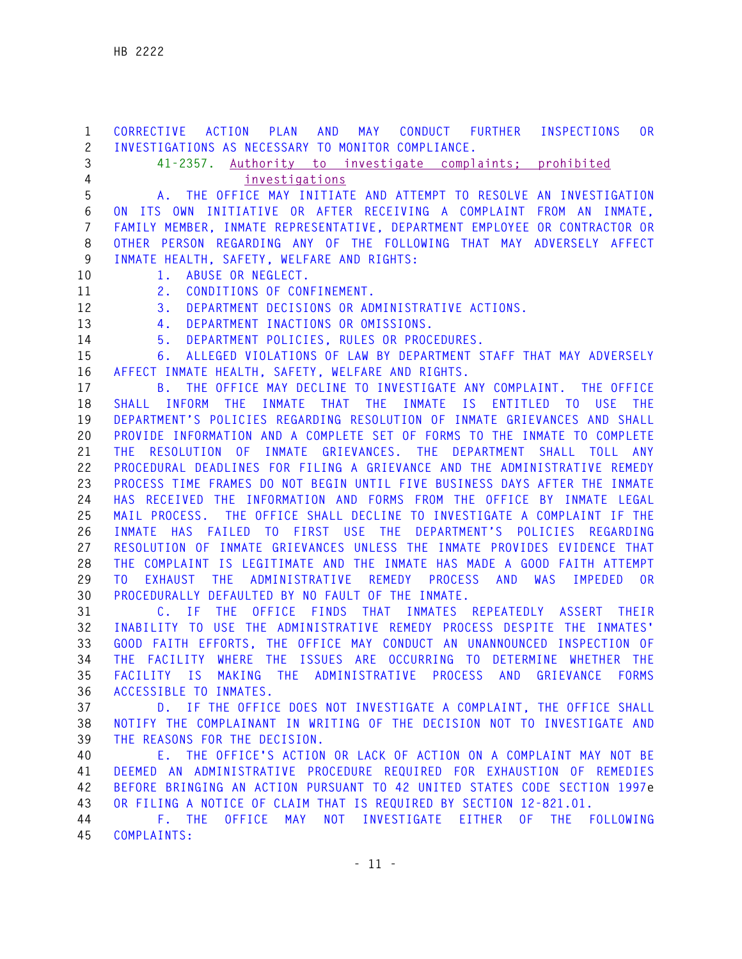**1 CORRECTIVE ACTION PLAN AND MAY CONDUCT FURTHER INSPECTIONS OR 2 INVESTIGATIONS AS NECESSARY TO MONITOR COMPLIANCE. 3 41-2357. Authority to investigate complaints; prohibited 4 investigations 5 A. THE OFFICE MAY INITIATE AND ATTEMPT TO RESOLVE AN INVESTIGATION 6 ON ITS OWN INITIATIVE OR AFTER RECEIVING A COMPLAINT FROM AN INMATE, 7 FAMILY MEMBER, INMATE REPRESENTATIVE, DEPARTMENT EMPLOYEE OR CONTRACTOR OR 8 OTHER PERSON REGARDING ANY OF THE FOLLOWING THAT MAY ADVERSELY AFFECT 9 INMATE HEALTH, SAFETY, WELFARE AND RIGHTS:**  10 1. ABUSE OR NEGLECT. **11 2. CONDITIONS OF CONFINEMENT. 12 3. DEPARTMENT DECISIONS OR ADMINISTRATIVE ACTIONS. 13 4. DEPARTMENT INACTIONS OR OMISSIONS. 14 5. DEPARTMENT POLICIES, RULES OR PROCEDURES. 15 6. ALLEGED VIOLATIONS OF LAW BY DEPARTMENT STAFF THAT MAY ADVERSELY 16 AFFECT INMATE HEALTH, SAFETY, WELFARE AND RIGHTS. 17 B. THE OFFICE MAY DECLINE TO INVESTIGATE ANY COMPLAINT. THE OFFICE 18 SHALL INFORM THE INMATE THAT THE INMATE IS ENTITLED TO USE THE 19 DEPARTMENT'S POLICIES REGARDING RESOLUTION OF INMATE GRIEVANCES AND SHALL 20 PROVIDE INFORMATION AND A COMPLETE SET OF FORMS TO THE INMATE TO COMPLETE 21 THE RESOLUTION OF INMATE GRIEVANCES. THE DEPARTMENT SHALL TOLL ANY 22 PROCEDURAL DEADLINES FOR FILING A GRIEVANCE AND THE ADMINISTRATIVE REMEDY 23 PROCESS TIME FRAMES DO NOT BEGIN UNTIL FIVE BUSINESS DAYS AFTER THE INMATE 24 HAS RECEIVED THE INFORMATION AND FORMS FROM THE OFFICE BY INMATE LEGAL 25 MAIL PROCESS. THE OFFICE SHALL DECLINE TO INVESTIGATE A COMPLAINT IF THE 26 INMATE HAS FAILED TO FIRST USE THE DEPARTMENT'S POLICIES REGARDING 27 RESOLUTION OF INMATE GRIEVANCES UNLESS THE INMATE PROVIDES EVIDENCE THAT 28 THE COMPLAINT IS LEGITIMATE AND THE INMATE HAS MADE A GOOD FAITH ATTEMPT 29 TO EXHAUST THE ADMINISTRATIVE REMEDY PROCESS AND WAS IMPEDED OR 30 PROCEDURALLY DEFAULTED BY NO FAULT OF THE INMATE. 31 C. IF THE OFFICE FINDS THAT INMATES REPEATEDLY ASSERT THEIR 32 INABILITY TO USE THE ADMINISTRATIVE REMEDY PROCESS DESPITE THE INMATES' 33 GOOD FAITH EFFORTS, THE OFFICE MAY CONDUCT AN UNANNOUNCED INSPECTION OF 34 THE FACILITY WHERE THE ISSUES ARE OCCURRING TO DETERMINE WHETHER THE 35 FACILITY IS MAKING THE ADMINISTRATIVE PROCESS AND GRIEVANCE FORMS 36 ACCESSIBLE TO INMATES. 37 D. IF THE OFFICE DOES NOT INVESTIGATE A COMPLAINT, THE OFFICE SHALL 38 NOTIFY THE COMPLAINANT IN WRITING OF THE DECISION NOT TO INVESTIGATE AND 39 THE REASONS FOR THE DECISION. 40 E. THE OFFICE'S ACTION OR LACK OF ACTION ON A COMPLAINT MAY NOT BE 41 DEEMED AN ADMINISTRATIVE PROCEDURE REQUIRED FOR EXHAUSTION OF REMEDIES 42 BEFORE BRINGING AN ACTION PURSUANT TO 42 UNITED STATES CODE SECTION 1997e 43 OR FILING A NOTICE OF CLAIM THAT IS REQUIRED BY SECTION 12-821.01. 44 F. THE OFFICE MAY NOT INVESTIGATE EITHER OF THE FOLLOWING 45 COMPLAINTS:**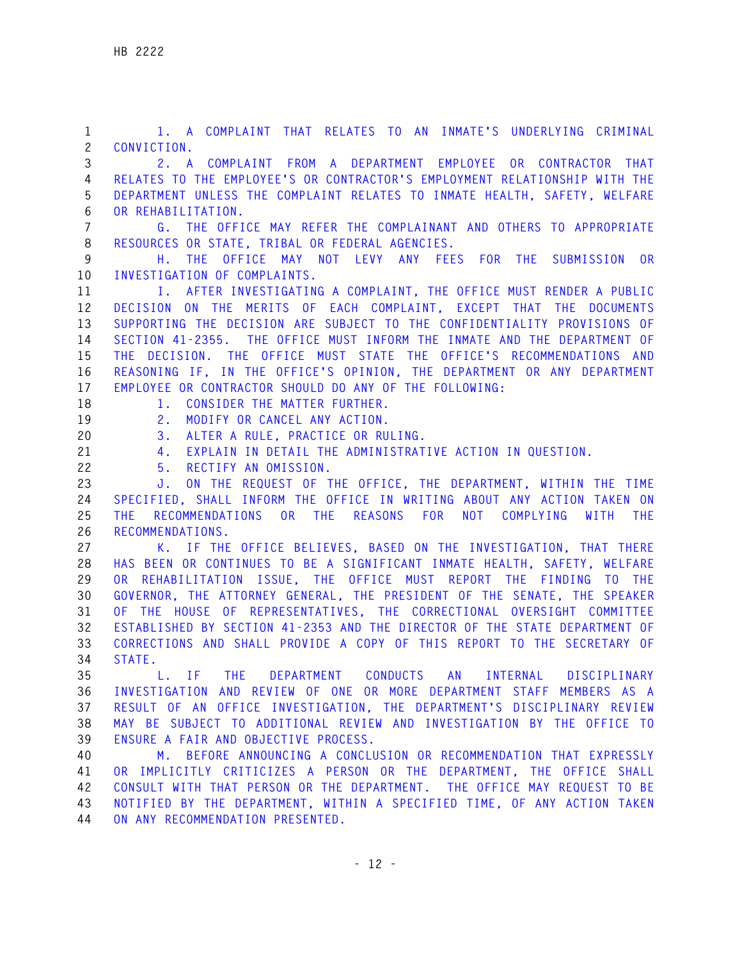**1 1. A COMPLAINT THAT RELATES TO AN INMATE'S UNDERLYING CRIMINAL 2 CONVICTION. 3 2. A COMPLAINT FROM A DEPARTMENT EMPLOYEE OR CONTRACTOR THAT 4 RELATES TO THE EMPLOYEE'S OR CONTRACTOR'S EMPLOYMENT RELATIONSHIP WITH THE 5 DEPARTMENT UNLESS THE COMPLAINT RELATES TO INMATE HEALTH, SAFETY, WELFARE 6 OR REHABILITATION. 7 G. THE OFFICE MAY REFER THE COMPLAINANT AND OTHERS TO APPROPRIATE 8 RESOURCES OR STATE, TRIBAL OR FEDERAL AGENCIES. 9 H. THE OFFICE MAY NOT LEVY ANY FEES FOR THE SUBMISSION OR 10 INVESTIGATION OF COMPLAINTS. 11 I. AFTER INVESTIGATING A COMPLAINT, THE OFFICE MUST RENDER A PUBLIC 12 DECISION ON THE MERITS OF EACH COMPLAINT, EXCEPT THAT THE DOCUMENTS 13 SUPPORTING THE DECISION ARE SUBJECT TO THE CONFIDENTIALITY PROVISIONS OF 14 SECTION 41-2355. THE OFFICE MUST INFORM THE INMATE AND THE DEPARTMENT OF 15 THE DECISION. THE OFFICE MUST STATE THE OFFICE'S RECOMMENDATIONS AND 16 REASONING IF, IN THE OFFICE'S OPINION, THE DEPARTMENT OR ANY DEPARTMENT 17 EMPLOYEE OR CONTRACTOR SHOULD DO ANY OF THE FOLLOWING:**  18 1. CONSIDER THE MATTER FURTHER. **19 2. MODIFY OR CANCEL ANY ACTION. 20 3. ALTER A RULE, PRACTICE OR RULING. 21 4. EXPLAIN IN DETAIL THE ADMINISTRATIVE ACTION IN QUESTION. 22 5. RECTIFY AN OMISSION. 23 J. ON THE REQUEST OF THE OFFICE, THE DEPARTMENT, WITHIN THE TIME 24 SPECIFIED, SHALL INFORM THE OFFICE IN WRITING ABOUT ANY ACTION TAKEN ON 25 THE RECOMMENDATIONS OR THE REASONS FOR NOT COMPLYING WITH THE 26 RECOMMENDATIONS. 27 K. IF THE OFFICE BELIEVES, BASED ON THE INVESTIGATION, THAT THERE 28 HAS BEEN OR CONTINUES TO BE A SIGNIFICANT INMATE HEALTH, SAFETY, WELFARE 29 OR REHABILITATION ISSUE, THE OFFICE MUST REPORT THE FINDING TO THE 30 GOVERNOR, THE ATTORNEY GENERAL, THE PRESIDENT OF THE SENATE, THE SPEAKER 31 OF THE HOUSE OF REPRESENTATIVES, THE CORRECTIONAL OVERSIGHT COMMITTEE 32 ESTABLISHED BY SECTION 41-2353 AND THE DIRECTOR OF THE STATE DEPARTMENT OF 33 CORRECTIONS AND SHALL PROVIDE A COPY OF THIS REPORT TO THE SECRETARY OF 34 STATE. 35 L. IF THE DEPARTMENT CONDUCTS AN INTERNAL DISCIPLINARY 36 INVESTIGATION AND REVIEW OF ONE OR MORE DEPARTMENT STAFF MEMBERS AS A 37 RESULT OF AN OFFICE INVESTIGATION, THE DEPARTMENT'S DISCIPLINARY REVIEW 38 MAY BE SUBJECT TO ADDITIONAL REVIEW AND INVESTIGATION BY THE OFFICE TO 39 ENSURE A FAIR AND OBJECTIVE PROCESS. 40 M. BEFORE ANNOUNCING A CONCLUSION OR RECOMMENDATION THAT EXPRESSLY 41 OR IMPLICITLY CRITICIZES A PERSON OR THE DEPARTMENT, THE OFFICE SHALL 42 CONSULT WITH THAT PERSON OR THE DEPARTMENT. THE OFFICE MAY REQUEST TO BE 43 NOTIFIED BY THE DEPARTMENT, WITHIN A SPECIFIED TIME, OF ANY ACTION TAKEN 44 ON ANY RECOMMENDATION PRESENTED.**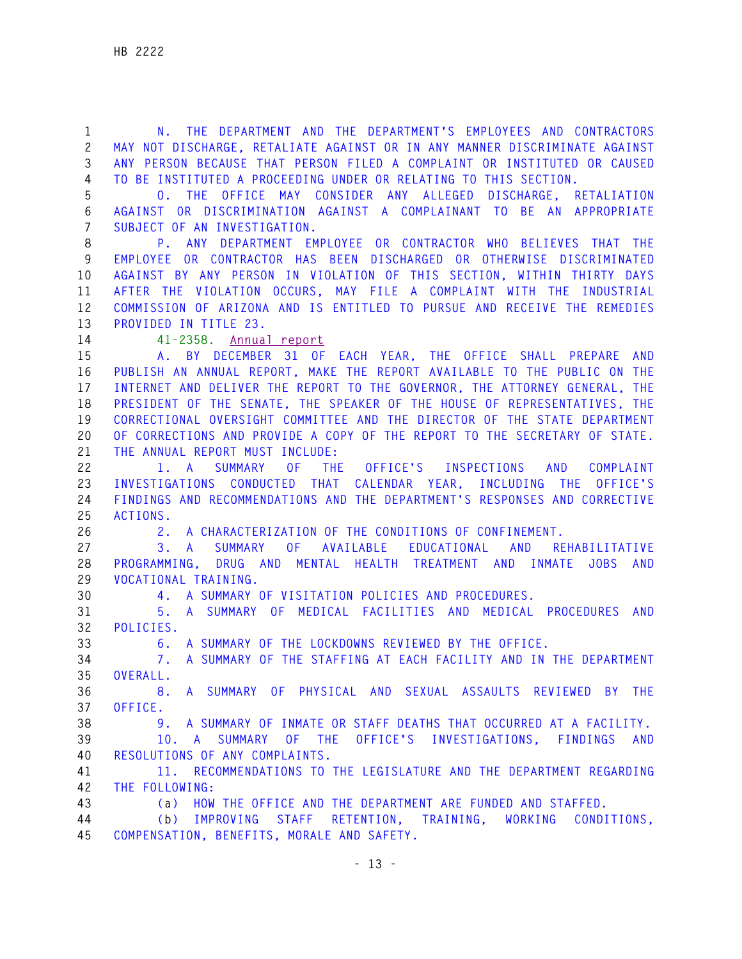**1 N. THE DEPARTMENT AND THE DEPARTMENT'S EMPLOYEES AND CONTRACTORS 2 MAY NOT DISCHARGE, RETALIATE AGAINST OR IN ANY MANNER DISCRIMINATE AGAINST 3 ANY PERSON BECAUSE THAT PERSON FILED A COMPLAINT OR INSTITUTED OR CAUSED 4 TO BE INSTITUTED A PROCEEDING UNDER OR RELATING TO THIS SECTION. 5 O. THE OFFICE MAY CONSIDER ANY ALLEGED DISCHARGE, RETALIATION 6 AGAINST OR DISCRIMINATION AGAINST A COMPLAINANT TO BE AN APPROPRIATE 7 SUBJECT OF AN INVESTIGATION. 8 P. ANY DEPARTMENT EMPLOYEE OR CONTRACTOR WHO BELIEVES THAT THE 9 EMPLOYEE OR CONTRACTOR HAS BEEN DISCHARGED OR OTHERWISE DISCRIMINATED 10 AGAINST BY ANY PERSON IN VIOLATION OF THIS SECTION, WITHIN THIRTY DAYS 11 AFTER THE VIOLATION OCCURS, MAY FILE A COMPLAINT WITH THE INDUSTRIAL 12 COMMISSION OF ARIZONA AND IS ENTITLED TO PURSUE AND RECEIVE THE REMEDIES 13 PROVIDED IN TITLE 23. 14 41-2358. Annual report 15 A. BY DECEMBER 31 OF EACH YEAR, THE OFFICE SHALL PREPARE AND 16 PUBLISH AN ANNUAL REPORT, MAKE THE REPORT AVAILABLE TO THE PUBLIC ON THE 17 INTERNET AND DELIVER THE REPORT TO THE GOVERNOR, THE ATTORNEY GENERAL, THE 18 PRESIDENT OF THE SENATE, THE SPEAKER OF THE HOUSE OF REPRESENTATIVES, THE 19 CORRECTIONAL OVERSIGHT COMMITTEE AND THE DIRECTOR OF THE STATE DEPARTMENT 20 OF CORRECTIONS AND PROVIDE A COPY OF THE REPORT TO THE SECRETARY OF STATE. 21 THE ANNUAL REPORT MUST INCLUDE: 22 1. A SUMMARY OF THE OFFICE'S INSPECTIONS AND COMPLAINT 23 INVESTIGATIONS CONDUCTED THAT CALENDAR YEAR, INCLUDING THE OFFICE'S 24 FINDINGS AND RECOMMENDATIONS AND THE DEPARTMENT'S RESPONSES AND CORRECTIVE 25 ACTIONS. 26 2. A CHARACTERIZATION OF THE CONDITIONS OF CONFINEMENT. 27 3. A SUMMARY OF AVAILABLE EDUCATIONAL AND REHABILITATIVE 28 PROGRAMMING, DRUG AND MENTAL HEALTH TREATMENT AND INMATE JOBS AND 29 VOCATIONAL TRAINING. 30 4. A SUMMARY OF VISITATION POLICIES AND PROCEDURES. 31 5. A SUMMARY OF MEDICAL FACILITIES AND MEDICAL PROCEDURES AND 32 POLICIES. 33 6. A SUMMARY OF THE LOCKDOWNS REVIEWED BY THE OFFICE. 34 7. A SUMMARY OF THE STAFFING AT EACH FACILITY AND IN THE DEPARTMENT 35 OVERALL. 36 8. A SUMMARY OF PHYSICAL AND SEXUAL ASSAULTS REVIEWED BY THE 37 OFFICE. 38 9. A SUMMARY OF INMATE OR STAFF DEATHS THAT OCCURRED AT A FACILITY. 39 10. A SUMMARY OF THE OFFICE'S INVESTIGATIONS, FINDINGS AND 40 RESOLUTIONS OF ANY COMPLAINTS. 41 11. RECOMMENDATIONS TO THE LEGISLATURE AND THE DEPARTMENT REGARDING 42 THE FOLLOWING: 43 (a) HOW THE OFFICE AND THE DEPARTMENT ARE FUNDED AND STAFFED. 44 (b) IMPROVING STAFF RETENTION, TRAINING, WORKING CONDITIONS, 45 COMPENSATION, BENEFITS, MORALE AND SAFETY.**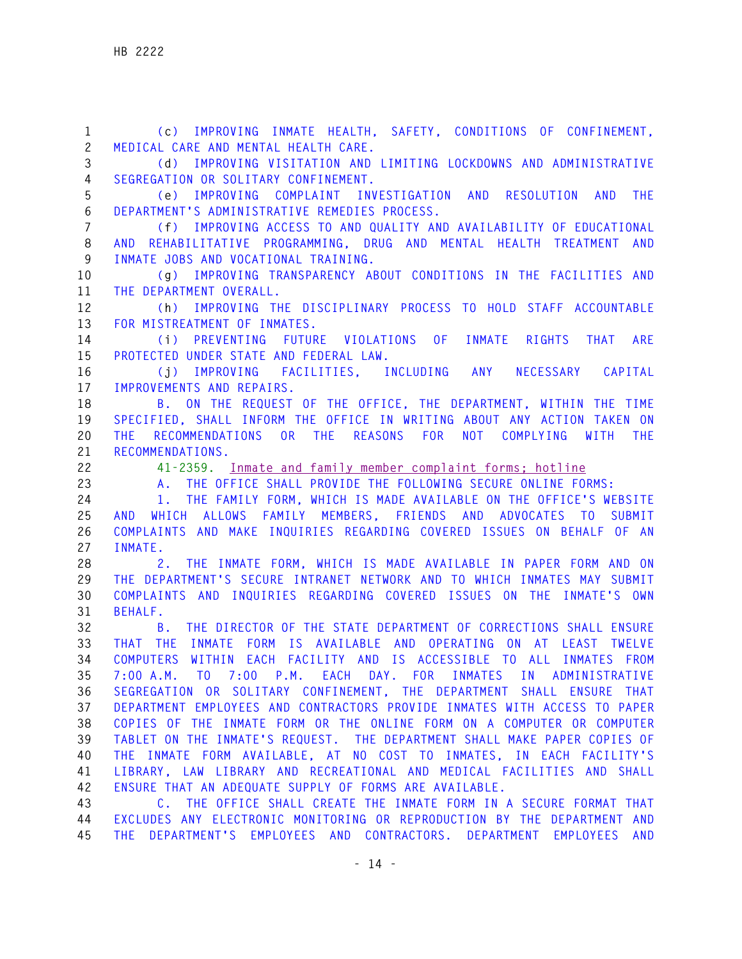**1 (c) IMPROVING INMATE HEALTH, SAFETY, CONDITIONS OF CONFINEMENT, 2 MEDICAL CARE AND MENTAL HEALTH CARE. 3 (d) IMPROVING VISITATION AND LIMITING LOCKDOWNS AND ADMINISTRATIVE 4 SEGREGATION OR SOLITARY CONFINEMENT. 5 (e) IMPROVING COMPLAINT INVESTIGATION AND RESOLUTION AND THE 6 DEPARTMENT'S ADMINISTRATIVE REMEDIES PROCESS. 7 (f) IMPROVING ACCESS TO AND QUALITY AND AVAILABILITY OF EDUCATIONAL 8 AND REHABILITATIVE PROGRAMMING, DRUG AND MENTAL HEALTH TREATMENT AND 9 INMATE JOBS AND VOCATIONAL TRAINING. 10 (g) IMPROVING TRANSPARENCY ABOUT CONDITIONS IN THE FACILITIES AND 11 THE DEPARTMENT OVERALL. 12 (h) IMPROVING THE DISCIPLINARY PROCESS TO HOLD STAFF ACCOUNTABLE 13 FOR MISTREATMENT OF INMATES. 14 (i) PREVENTING FUTURE VIOLATIONS OF INMATE RIGHTS THAT ARE 15 PROTECTED UNDER STATE AND FEDERAL LAW. 16 (j) IMPROVING FACILITIES, INCLUDING ANY NECESSARY CAPITAL 17 IMPROVEMENTS AND REPAIRS. 18 B. ON THE REQUEST OF THE OFFICE, THE DEPARTMENT, WITHIN THE TIME 19 SPECIFIED, SHALL INFORM THE OFFICE IN WRITING ABOUT ANY ACTION TAKEN ON 20 THE RECOMMENDATIONS OR THE REASONS FOR NOT COMPLYING WITH THE 21 RECOMMENDATIONS. 22 41-2359. Inmate and family member complaint forms; hotline 23 A. THE OFFICE SHALL PROVIDE THE FOLLOWING SECURE ONLINE FORMS: 24 1. THE FAMILY FORM, WHICH IS MADE AVAILABLE ON THE OFFICE'S WEBSITE 25 AND WHICH ALLOWS FAMILY MEMBERS, FRIENDS AND ADVOCATES TO SUBMIT 26 COMPLAINTS AND MAKE INQUIRIES REGARDING COVERED ISSUES ON BEHALF OF AN 27 INMATE. 28 2. THE INMATE FORM, WHICH IS MADE AVAILABLE IN PAPER FORM AND ON 29 THE DEPARTMENT'S SECURE INTRANET NETWORK AND TO WHICH INMATES MAY SUBMIT 30 COMPLAINTS AND INQUIRIES REGARDING COVERED ISSUES ON THE INMATE'S OWN 31 BEHALF. 32 B. THE DIRECTOR OF THE STATE DEPARTMENT OF CORRECTIONS SHALL ENSURE 33 THAT THE INMATE FORM IS AVAILABLE AND OPERATING ON AT LEAST TWELVE 34 COMPUTERS WITHIN EACH FACILITY AND IS ACCESSIBLE TO ALL INMATES FROM 35 7:00 A.M. TO 7:00 P.M. EACH DAY. FOR INMATES IN ADMINISTRATIVE 36 SEGREGATION OR SOLITARY CONFINEMENT, THE DEPARTMENT SHALL ENSURE THAT 37 DEPARTMENT EMPLOYEES AND CONTRACTORS PROVIDE INMATES WITH ACCESS TO PAPER 38 COPIES OF THE INMATE FORM OR THE ONLINE FORM ON A COMPUTER OR COMPUTER 39 TABLET ON THE INMATE'S REQUEST. THE DEPARTMENT SHALL MAKE PAPER COPIES OF 40 THE INMATE FORM AVAILABLE, AT NO COST TO INMATES, IN EACH FACILITY'S 41 LIBRARY, LAW LIBRARY AND RECREATIONAL AND MEDICAL FACILITIES AND SHALL 42 ENSURE THAT AN ADEQUATE SUPPLY OF FORMS ARE AVAILABLE. 43 C. THE OFFICE SHALL CREATE THE INMATE FORM IN A SECURE FORMAT THAT 44 EXCLUDES ANY ELECTRONIC MONITORING OR REPRODUCTION BY THE DEPARTMENT AND 45 THE DEPARTMENT'S EMPLOYEES AND CONTRACTORS. DEPARTMENT EMPLOYEES AND**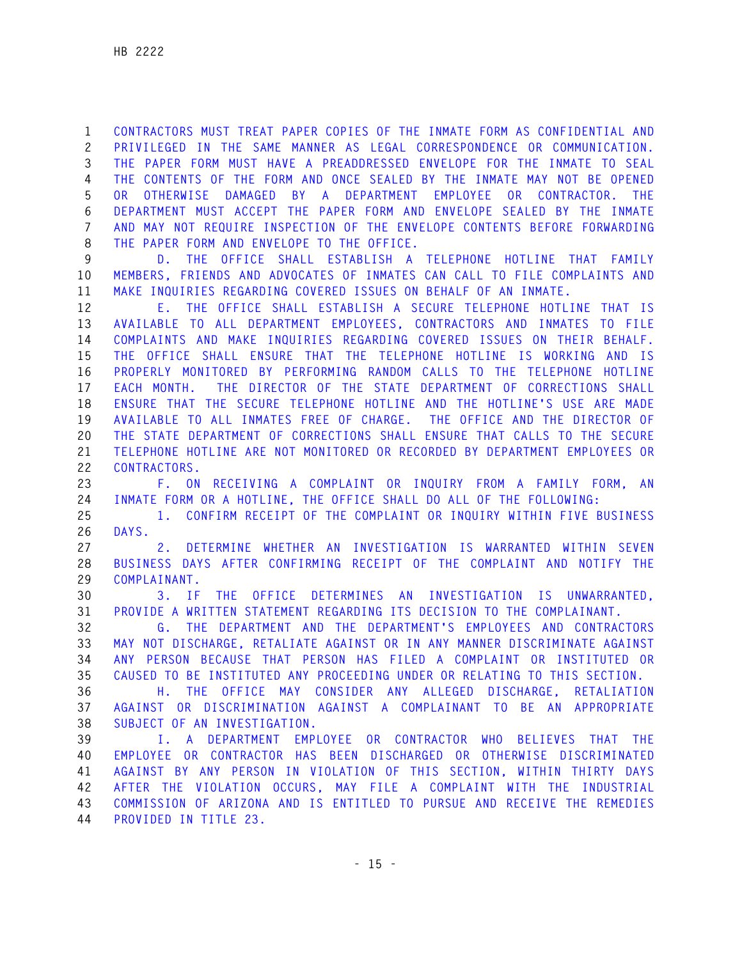**1 CONTRACTORS MUST TREAT PAPER COPIES OF THE INMATE FORM AS CONFIDENTIAL AND 2 PRIVILEGED IN THE SAME MANNER AS LEGAL CORRESPONDENCE OR COMMUNICATION. 3 THE PAPER FORM MUST HAVE A PREADDRESSED ENVELOPE FOR THE INMATE TO SEAL 4 THE CONTENTS OF THE FORM AND ONCE SEALED BY THE INMATE MAY NOT BE OPENED 5 OR OTHERWISE DAMAGED BY A DEPARTMENT EMPLOYEE OR CONTRACTOR. THE 6 DEPARTMENT MUST ACCEPT THE PAPER FORM AND ENVELOPE SEALED BY THE INMATE 7 AND MAY NOT REQUIRE INSPECTION OF THE ENVELOPE CONTENTS BEFORE FORWARDING 8 THE PAPER FORM AND ENVELOPE TO THE OFFICE.** 

**9 D. THE OFFICE SHALL ESTABLISH A TELEPHONE HOTLINE THAT FAMILY 10 MEMBERS, FRIENDS AND ADVOCATES OF INMATES CAN CALL TO FILE COMPLAINTS AND 11 MAKE INQUIRIES REGARDING COVERED ISSUES ON BEHALF OF AN INMATE.** 

**12 E. THE OFFICE SHALL ESTABLISH A SECURE TELEPHONE HOTLINE THAT IS 13 AVAILABLE TO ALL DEPARTMENT EMPLOYEES, CONTRACTORS AND INMATES TO FILE 14 COMPLAINTS AND MAKE INQUIRIES REGARDING COVERED ISSUES ON THEIR BEHALF. 15 THE OFFICE SHALL ENSURE THAT THE TELEPHONE HOTLINE IS WORKING AND IS 16 PROPERLY MONITORED BY PERFORMING RANDOM CALLS TO THE TELEPHONE HOTLINE 17 EACH MONTH. THE DIRECTOR OF THE STATE DEPARTMENT OF CORRECTIONS SHALL 18 ENSURE THAT THE SECURE TELEPHONE HOTLINE AND THE HOTLINE'S USE ARE MADE 19 AVAILABLE TO ALL INMATES FREE OF CHARGE. THE OFFICE AND THE DIRECTOR OF 20 THE STATE DEPARTMENT OF CORRECTIONS SHALL ENSURE THAT CALLS TO THE SECURE 21 TELEPHONE HOTLINE ARE NOT MONITORED OR RECORDED BY DEPARTMENT EMPLOYEES OR 22 CONTRACTORS.** 

**23 F. ON RECEIVING A COMPLAINT OR INQUIRY FROM A FAMILY FORM, AN 24 INMATE FORM OR A HOTLINE, THE OFFICE SHALL DO ALL OF THE FOLLOWING:** 

**25 1. CONFIRM RECEIPT OF THE COMPLAINT OR INQUIRY WITHIN FIVE BUSINESS 26 DAYS.** 

**27 2. DETERMINE WHETHER AN INVESTIGATION IS WARRANTED WITHIN SEVEN 28 BUSINESS DAYS AFTER CONFIRMING RECEIPT OF THE COMPLAINT AND NOTIFY THE 29 COMPLAINANT.** 

**30 3. IF THE OFFICE DETERMINES AN INVESTIGATION IS UNWARRANTED, 31 PROVIDE A WRITTEN STATEMENT REGARDING ITS DECISION TO THE COMPLAINANT.** 

**32 G. THE DEPARTMENT AND THE DEPARTMENT'S EMPLOYEES AND CONTRACTORS 33 MAY NOT DISCHARGE, RETALIATE AGAINST OR IN ANY MANNER DISCRIMINATE AGAINST 34 ANY PERSON BECAUSE THAT PERSON HAS FILED A COMPLAINT OR INSTITUTED OR 35 CAUSED TO BE INSTITUTED ANY PROCEEDING UNDER OR RELATING TO THIS SECTION.** 

**36 H. THE OFFICE MAY CONSIDER ANY ALLEGED DISCHARGE, RETALIATION 37 AGAINST OR DISCRIMINATION AGAINST A COMPLAINANT TO BE AN APPROPRIATE 38 SUBJECT OF AN INVESTIGATION.** 

**39 I. A DEPARTMENT EMPLOYEE OR CONTRACTOR WHO BELIEVES THAT THE 40 EMPLOYEE OR CONTRACTOR HAS BEEN DISCHARGED OR OTHERWISE DISCRIMINATED 41 AGAINST BY ANY PERSON IN VIOLATION OF THIS SECTION, WITHIN THIRTY DAYS 42 AFTER THE VIOLATION OCCURS, MAY FILE A COMPLAINT WITH THE INDUSTRIAL 43 COMMISSION OF ARIZONA AND IS ENTITLED TO PURSUE AND RECEIVE THE REMEDIES 44 PROVIDED IN TITLE 23.**